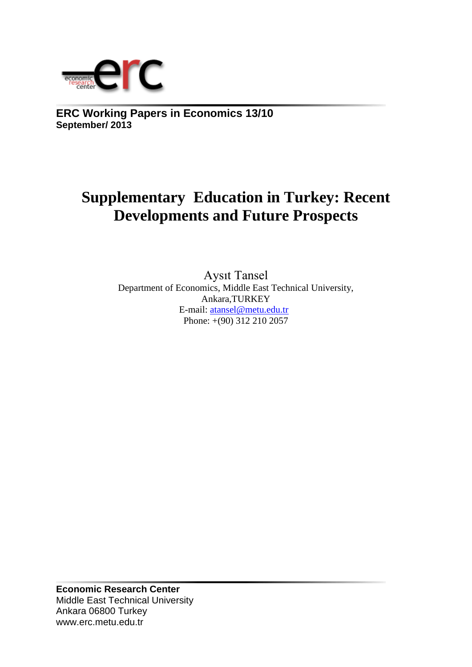

**ERC Working Papers in Economics 13/10 September/ 2013**

# **Supplementary Education in Turkey: Recent Developments and Future Prospects**

Aysıt Tansel Department of Economics, Middle East Technical University, Ankara,TURKEY E-mail: [atansel@metu.edu.tr](mailto:atansel@metu.edu.tr) Phone: +(90) 312 210 2057

**Economic Research Center** Middle East Technical University Ankara 06800 Turkey www.erc.metu.edu.tr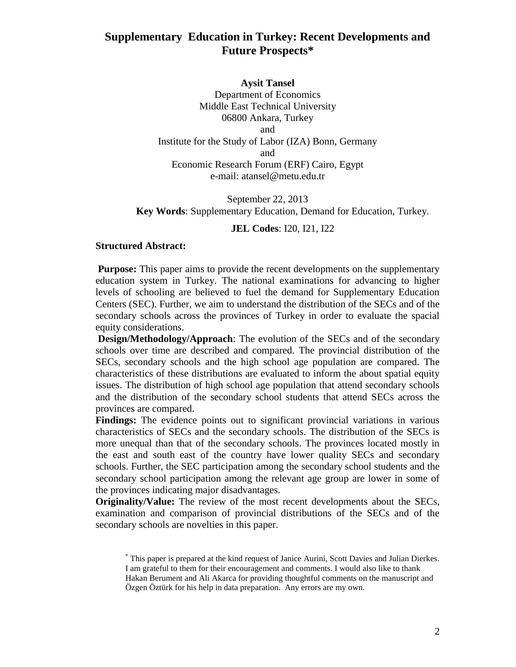## **Supplementary Education in Turkey: Recent Developments and Future Prospects\***

#### **Aysit Tansel**

Department of Economics Middle East Technical University 06800 Ankara, Turkey and Institute for the Study of Labor (IZA) Bonn, Germany and Economic Research Forum (ERF) Cairo, Egypt e-mail: atansel@metu.edu.tr

September 22, 2013 **Key Words**: Supplementary Education, Demand for Education, Turkey.

#### **JEL Codes**: I20, I21, I22

### **Structured Abstract:**

**Purpose:** This paper aims to provide the recent developments on the supplementary education system in Turkey. The national examinations for advancing to higher levels of schooling are believed to fuel the demand for Supplementary Education Centers (SEC). Further, we aim to understand the distribution of the SECs and of the secondary schools across the provinces of Turkey in order to evaluate the spacial equity considerations.

**Design/Methodology/Approach**: The evolution of the SECs and of the secondary schools over time are described and compared. The provincial distribution of the SECs, secondary schools and the high school age population are compared. The characteristics of these distributions are evaluated to inform the about spatial equity issues. The distribution of high school age population that attend secondary schools and the distribution of the secondary school students that attend SECs across the provinces are compared.

**Findings:** The evidence points out to significant provincial variations in various characteristics of SECs and the secondary schools. The distribution of the SECs is more unequal than that of the secondary schools. The provinces located mostly in the east and south east of the country have lower quality SECs and secondary schools. Further, the SEC participation among the secondary school students and the secondary school participation among the relevant age group are lower in some of the provinces indicating major disadvantages.

**Originality/Value:** The review of the most recent developments about the SECs, examination and comparison of provincial distributions of the SECs and of the secondary schools are novelties in this paper.

<sup>\*</sup> This paper is prepared at the kind request of Janice Aurini, Scott Davies and Julian Dierkes. I am grateful to them for their encouragement and comments. I would also like to thank Hakan Berument and Ali Akarca for providing thoughtful comments on the manuscript and Özgen Öztürk for his help in data preparation. Any errors are my own.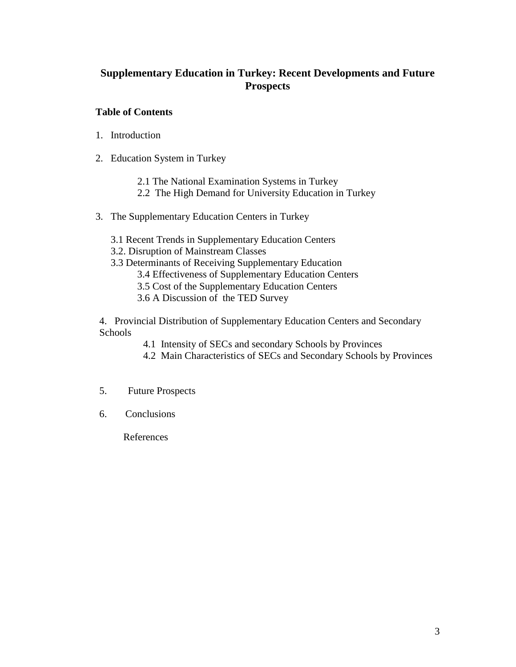## **Supplementary Education in Turkey: Recent Developments and Future Prospects**

## **Table of Contents**

- 1. Introduction
- 2. Education System in Turkey
	- 2.1 The National Examination Systems in Turkey
	- 2.2 The High Demand for University Education in Turkey
- 3. The Supplementary Education Centers in Turkey
	- 3.1 Recent Trends in Supplementary Education Centers
	- 3.2. Disruption of Mainstream Classes
	- 3.3 Determinants of Receiving Supplementary Education
		- 3.4 Effectiveness of Supplementary Education Centers
		- 3.5 Cost of the Supplementary Education Centers
		- 3.6 A Discussion of the TED Survey

4. Provincial Distribution of Supplementary Education Centers and Secondary Schools

- 4.1 Intensity of SECs and secondary Schools by Provinces
- 4.2 Main Characteristics of SECs and Secondary Schools by Provinces
- 5. Future Prospects
- 6. Conclusions

References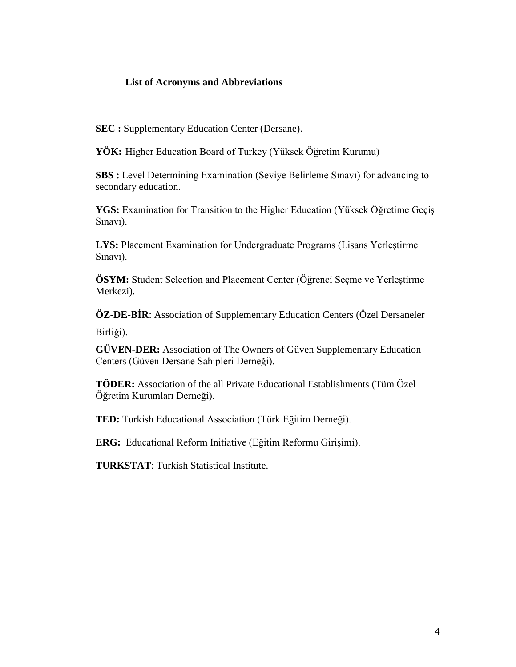## **List of Acronyms and Abbreviations**

**SEC**: Supplementary Education Center (Dersane).

**YÖK:** Higher Education Board of Turkey (Yüksek Öğretim Kurumu)

**SBS :** Level Determining Examination (Seviye Belirleme Sınavı) for advancing to secondary education.

**YGS:** Examination for Transition to the Higher Education (Yüksek Öğretime Geçiş Sınavı).

LYS: Placement Examination for Undergraduate Programs (Lisans Yerleştirme Sınavı).

**ÖSYM:** Student Selection and Placement Center (Öğrenci Seçme ve Yerleştirme Merkezi).

**ÖZ-DE-BİR**: Association of Supplementary Education Centers (Özel Dersaneler

Birliği).

**GÜVEN-DER:** Association of The Owners of Güven Supplementary Education Centers (Güven Dersane Sahipleri Derneği).

**TÖDER:** Association of the all Private Educational Establishments (Tüm Özel Öğretim Kurumları Derneği).

**TED:** Turkish Educational Association (Türk Eğitim Derneği).

**ERG:** Educational Reform Initiative (Eğitim Reformu Girişimi).

**TURKSTAT**: Turkish Statistical Institute.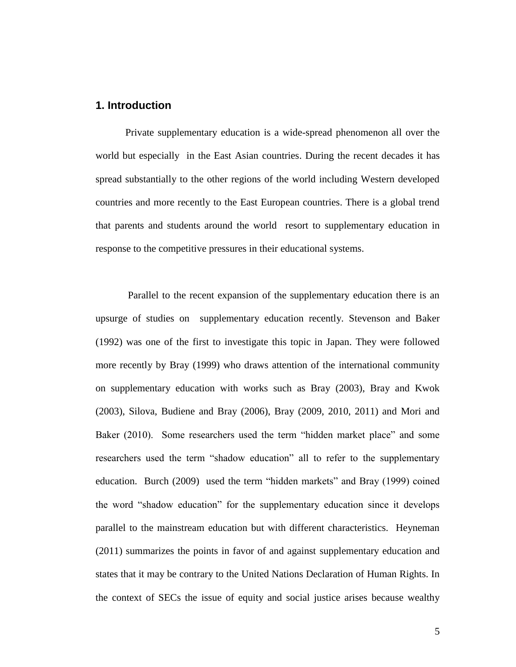#### **1. Introduction**

Private supplementary education is a wide-spread phenomenon all over the world but especially in the East Asian countries. During the recent decades it has spread substantially to the other regions of the world including Western developed countries and more recently to the East European countries. There is a global trend that parents and students around the world resort to supplementary education in response to the competitive pressures in their educational systems.

Parallel to the recent expansion of the supplementary education there is an upsurge of studies on supplementary education recently. Stevenson and Baker (1992) was one of the first to investigate this topic in Japan. They were followed more recently by Bray (1999) who draws attention of the international community on supplementary education with works such as Bray (2003), Bray and Kwok (2003), Silova, Budiene and Bray (2006), Bray (2009, 2010, 2011) and Mori and Baker (2010). Some researchers used the term "hidden market place" and some researchers used the term "shadow education" all to refer to the supplementary education. Burch (2009) used the term "hidden markets" and Bray (1999) coined the word "shadow education" for the supplementary education since it develops parallel to the mainstream education but with different characteristics. Heyneman (2011) summarizes the points in favor of and against supplementary education and states that it may be contrary to the United Nations Declaration of Human Rights. In the context of SECs the issue of equity and social justice arises because wealthy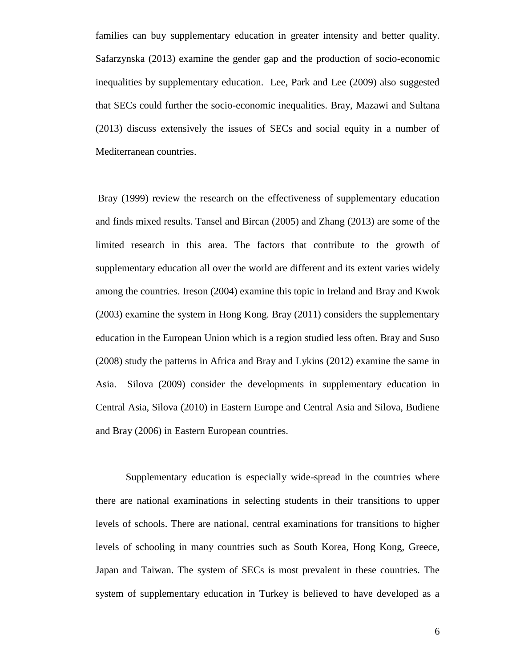families can buy supplementary education in greater intensity and better quality. Safarzynska (2013) examine the gender gap and the production of socio-economic inequalities by supplementary education. Lee, Park and Lee (2009) also suggested that SECs could further the socio-economic inequalities. Bray, Mazawi and Sultana (2013) discuss extensively the issues of SECs and social equity in a number of Mediterranean countries.

Bray (1999) review the research on the effectiveness of supplementary education and finds mixed results. Tansel and Bircan (2005) and Zhang (2013) are some of the limited research in this area. The factors that contribute to the growth of supplementary education all over the world are different and its extent varies widely among the countries. Ireson (2004) examine this topic in Ireland and Bray and Kwok (2003) examine the system in Hong Kong. Bray (2011) considers the supplementary education in the European Union which is a region studied less often. Bray and Suso (2008) study the patterns in Africa and Bray and Lykins (2012) examine the same in Asia. Silova (2009) consider the developments in supplementary education in Central Asia, Silova (2010) in Eastern Europe and Central Asia and Silova, Budiene and Bray (2006) in Eastern European countries.

Supplementary education is especially wide-spread in the countries where there are national examinations in selecting students in their transitions to upper levels of schools. There are national, central examinations for transitions to higher levels of schooling in many countries such as South Korea, Hong Kong, Greece, Japan and Taiwan. The system of SECs is most prevalent in these countries. The system of supplementary education in Turkey is believed to have developed as a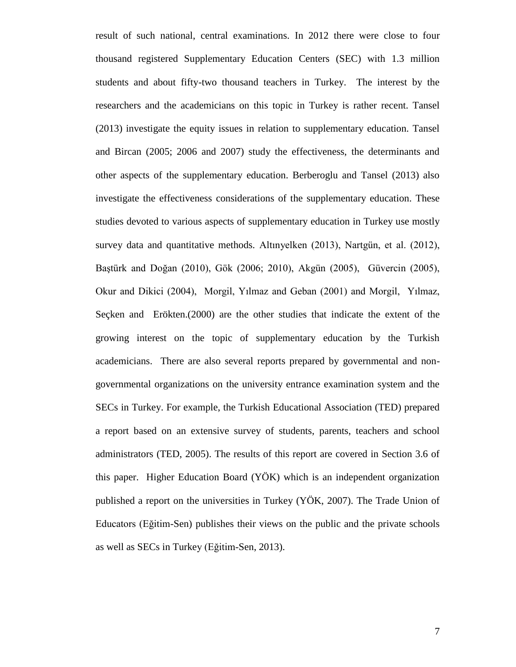result of such national, central examinations. In 2012 there were close to four thousand registered Supplementary Education Centers (SEC) with 1.3 million students and about fifty-two thousand teachers in Turkey. The interest by the researchers and the academicians on this topic in Turkey is rather recent. Tansel (2013) investigate the equity issues in relation to supplementary education. Tansel and Bircan (2005; 2006 and 2007) study the effectiveness, the determinants and other aspects of the supplementary education. Berberoglu and Tansel (2013) also investigate the effectiveness considerations of the supplementary education. These studies devoted to various aspects of supplementary education in Turkey use mostly survey data and quantitative methods. Altınyelken (2013), Nartgün, et al. (2012), Baştürk and Doğan (2010), Gök (2006; 2010), Akgün (2005), Güvercin (2005), Okur and Dikici (2004), Morgil, Yılmaz and Geban (2001) and Morgil, Yılmaz, Seçken and Erökten.(2000) are the other studies that indicate the extent of the growing interest on the topic of supplementary education by the Turkish academicians. There are also several reports prepared by governmental and nongovernmental organizations on the university entrance examination system and the SECs in Turkey. For example, the Turkish Educational Association (TED) prepared a report based on an extensive survey of students, parents, teachers and school administrators (TED, 2005). The results of this report are covered in Section 3.6 of this paper. Higher Education Board (YÖK) which is an independent organization published a report on the universities in Turkey (YÖK, 2007). The Trade Union of Educators (Eğitim-Sen) publishes their views on the public and the private schools as well as SECs in Turkey (Eğitim-Sen, 2013).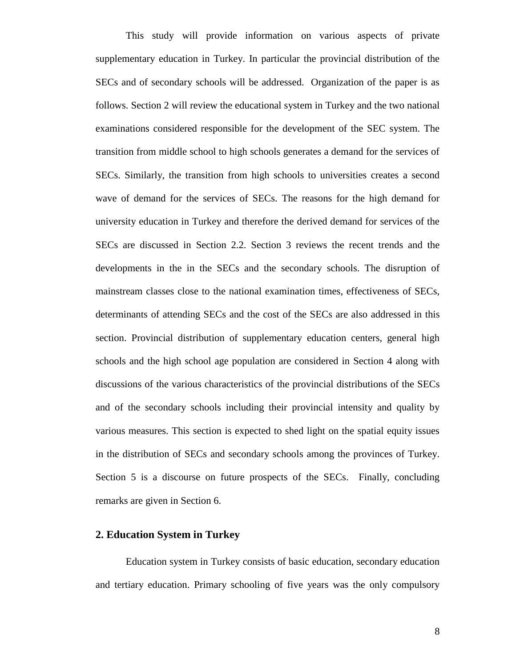This study will provide information on various aspects of private supplementary education in Turkey. In particular the provincial distribution of the SECs and of secondary schools will be addressed. Organization of the paper is as follows. Section 2 will review the educational system in Turkey and the two national examinations considered responsible for the development of the SEC system. The transition from middle school to high schools generates a demand for the services of SECs. Similarly, the transition from high schools to universities creates a second wave of demand for the services of SECs. The reasons for the high demand for university education in Turkey and therefore the derived demand for services of the SECs are discussed in Section 2.2. Section 3 reviews the recent trends and the developments in the in the SECs and the secondary schools. The disruption of mainstream classes close to the national examination times, effectiveness of SECs, determinants of attending SECs and the cost of the SECs are also addressed in this section. Provincial distribution of supplementary education centers, general high schools and the high school age population are considered in Section 4 along with discussions of the various characteristics of the provincial distributions of the SECs and of the secondary schools including their provincial intensity and quality by various measures. This section is expected to shed light on the spatial equity issues in the distribution of SECs and secondary schools among the provinces of Turkey. Section 5 is a discourse on future prospects of the SECs. Finally, concluding remarks are given in Section 6.

## **2. Education System in Turkey**

Education system in Turkey consists of basic education, secondary education and tertiary education. Primary schooling of five years was the only compulsory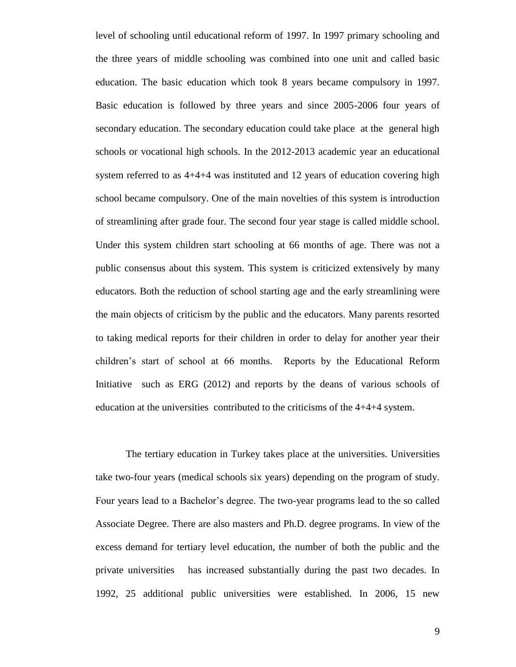level of schooling until educational reform of 1997. In 1997 primary schooling and the three years of middle schooling was combined into one unit and called basic education. The basic education which took 8 years became compulsory in 1997. Basic education is followed by three years and since 2005-2006 four years of secondary education. The secondary education could take place at the general high schools or vocational high schools. In the 2012-2013 academic year an educational system referred to as 4+4+4 was instituted and 12 years of education covering high school became compulsory. One of the main novelties of this system is introduction of streamlining after grade four. The second four year stage is called middle school. Under this system children start schooling at 66 months of age. There was not a public consensus about this system. This system is criticized extensively by many educators. Both the reduction of school starting age and the early streamlining were the main objects of criticism by the public and the educators. Many parents resorted to taking medical reports for their children in order to delay for another year their children's start of school at 66 months. Reports by the Educational Reform Initiative such as ERG (2012) and reports by the deans of various schools of education at the universities contributed to the criticisms of the 4+4+4 system.

The tertiary education in Turkey takes place at the universities. Universities take two-four years (medical schools six years) depending on the program of study. Four years lead to a Bachelor's degree. The two-year programs lead to the so called Associate Degree. There are also masters and Ph.D. degree programs. In view of the excess demand for tertiary level education, the number of both the public and the private universities has increased substantially during the past two decades. In 1992, 25 additional public universities were established. In 2006, 15 new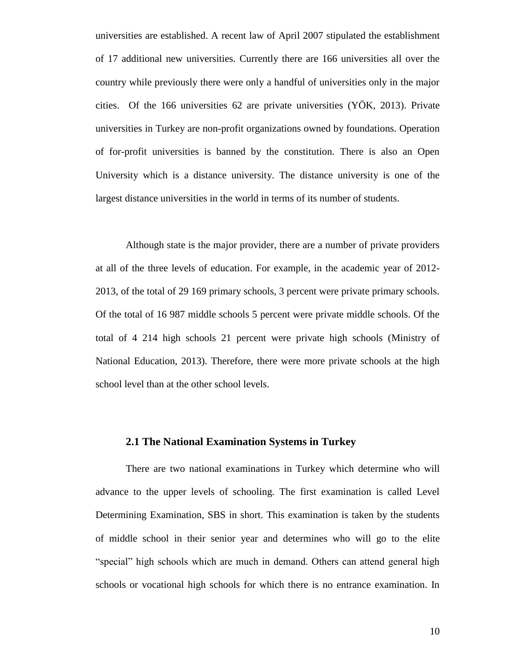universities are established. A recent law of April 2007 stipulated the establishment of 17 additional new universities. Currently there are 166 universities all over the country while previously there were only a handful of universities only in the major cities. Of the 166 universities 62 are private universities (YÖK, 2013). Private universities in Turkey are non-profit organizations owned by foundations. Operation of for-profit universities is banned by the constitution. There is also an Open University which is a distance university. The distance university is one of the largest distance universities in the world in terms of its number of students.

Although state is the major provider, there are a number of private providers at all of the three levels of education. For example, in the academic year of 2012- 2013, of the total of 29 169 primary schools, 3 percent were private primary schools. Of the total of 16 987 middle schools 5 percent were private middle schools. Of the total of 4 214 high schools 21 percent were private high schools (Ministry of National Education, 2013). Therefore, there were more private schools at the high school level than at the other school levels.

### **2.1 The National Examination Systems in Turkey**

There are two national examinations in Turkey which determine who will advance to the upper levels of schooling. The first examination is called Level Determining Examination, SBS in short. This examination is taken by the students of middle school in their senior year and determines who will go to the elite "special" high schools which are much in demand. Others can attend general high schools or vocational high schools for which there is no entrance examination. In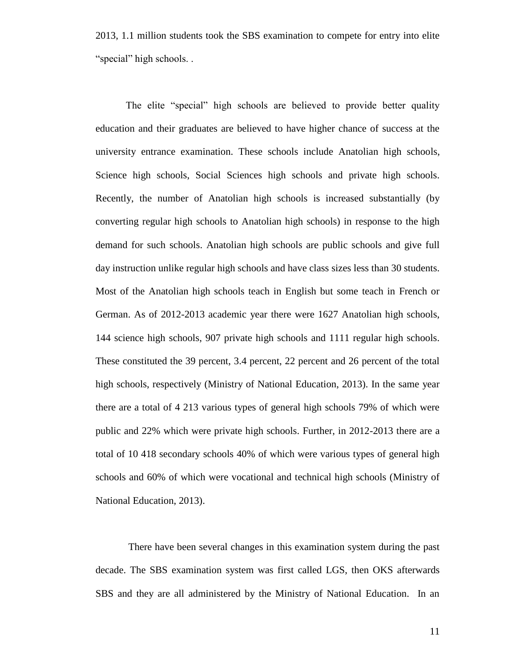2013, 1.1 million students took the SBS examination to compete for entry into elite "special" high schools...

The elite "special" high schools are believed to provide better quality education and their graduates are believed to have higher chance of success at the university entrance examination. These schools include Anatolian high schools, Science high schools, Social Sciences high schools and private high schools. Recently, the number of Anatolian high schools is increased substantially (by converting regular high schools to Anatolian high schools) in response to the high demand for such schools. Anatolian high schools are public schools and give full day instruction unlike regular high schools and have class sizes less than 30 students. Most of the Anatolian high schools teach in English but some teach in French or German. As of 2012-2013 academic year there were 1627 Anatolian high schools, 144 science high schools, 907 private high schools and 1111 regular high schools. These constituted the 39 percent, 3.4 percent, 22 percent and 26 percent of the total high schools, respectively (Ministry of National Education, 2013). In the same year there are a total of 4 213 various types of general high schools 79% of which were public and 22% which were private high schools. Further, in 2012-2013 there are a total of 10 418 secondary schools 40% of which were various types of general high schools and 60% of which were vocational and technical high schools (Ministry of National Education, 2013).

There have been several changes in this examination system during the past decade. The SBS examination system was first called LGS, then OKS afterwards SBS and they are all administered by the Ministry of National Education. In an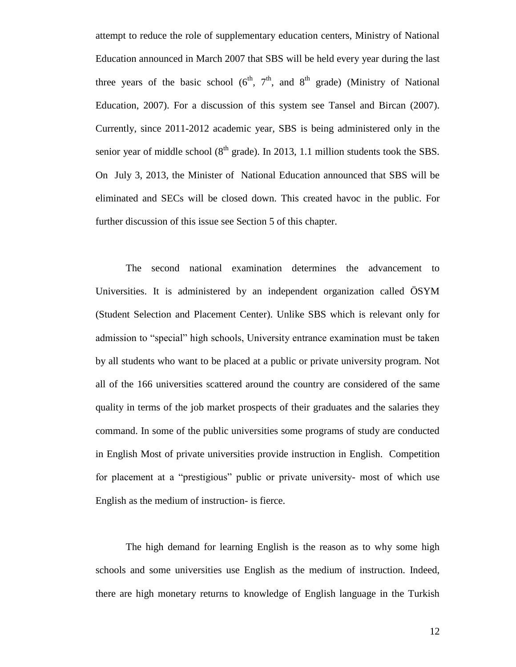attempt to reduce the role of supplementary education centers, Ministry of National Education announced in March 2007 that SBS will be held every year during the last three years of the basic school  $(6<sup>th</sup>, 7<sup>th</sup>,$  and  $8<sup>th</sup>$  grade) (Ministry of National Education, 2007). For a discussion of this system see Tansel and Bircan (2007). Currently, since 2011-2012 academic year, SBS is being administered only in the senior year of middle school  $(8<sup>th</sup> grade)$ . In 2013, 1.1 million students took the SBS. On July 3, 2013, the Minister of National Education announced that SBS will be eliminated and SECs will be closed down. This created havoc in the public. For further discussion of this issue see Section 5 of this chapter.

The second national examination determines the advancement to Universities. It is administered by an independent organization called ÖSYM (Student Selection and Placement Center). Unlike SBS which is relevant only for admission to "special" high schools, University entrance examination must be taken by all students who want to be placed at a public or private university program. Not all of the 166 universities scattered around the country are considered of the same quality in terms of the job market prospects of their graduates and the salaries they command. In some of the public universities some programs of study are conducted in English Most of private universities provide instruction in English. Competition for placement at a "prestigious" public or private university- most of which use English as the medium of instruction- is fierce.

The high demand for learning English is the reason as to why some high schools and some universities use English as the medium of instruction. Indeed, there are high monetary returns to knowledge of English language in the Turkish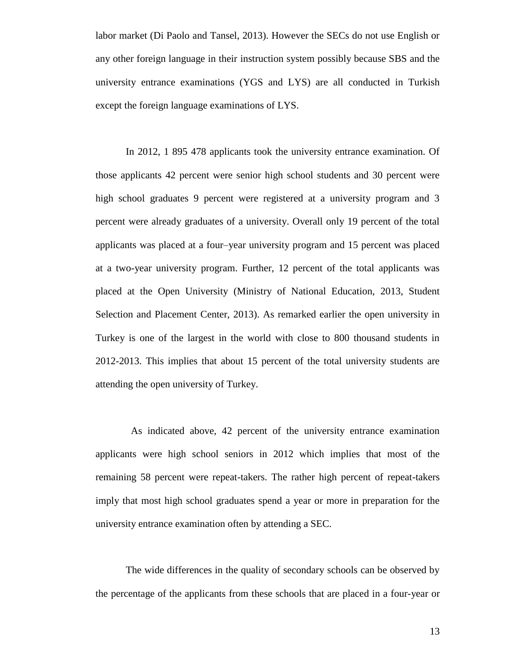labor market (Di Paolo and Tansel, 2013). However the SECs do not use English or any other foreign language in their instruction system possibly because SBS and the university entrance examinations (YGS and LYS) are all conducted in Turkish except the foreign language examinations of LYS.

In 2012, 1 895 478 applicants took the university entrance examination. Of those applicants 42 percent were senior high school students and 30 percent were high school graduates 9 percent were registered at a university program and 3 percent were already graduates of a university. Overall only 19 percent of the total applicants was placed at a four–year university program and 15 percent was placed at a two-year university program. Further, 12 percent of the total applicants was placed at the Open University (Ministry of National Education, 2013, Student Selection and Placement Center, 2013). As remarked earlier the open university in Turkey is one of the largest in the world with close to 800 thousand students in 2012-2013. This implies that about 15 percent of the total university students are attending the open university of Turkey.

As indicated above, 42 percent of the university entrance examination applicants were high school seniors in 2012 which implies that most of the remaining 58 percent were repeat-takers. The rather high percent of repeat-takers imply that most high school graduates spend a year or more in preparation for the university entrance examination often by attending a SEC.

The wide differences in the quality of secondary schools can be observed by the percentage of the applicants from these schools that are placed in a four-year or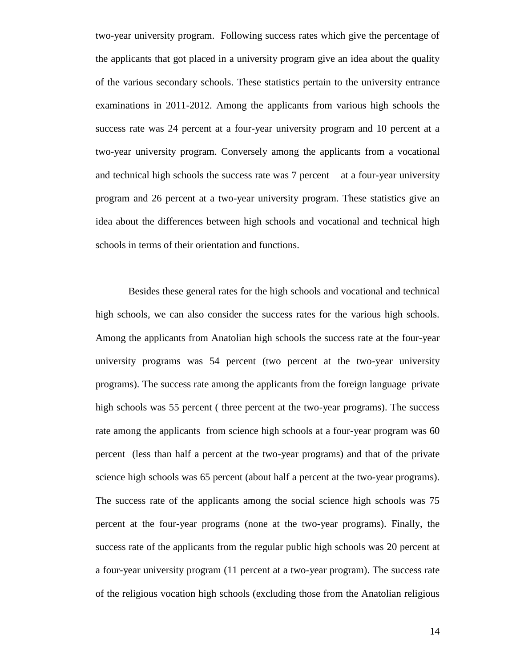two-year university program. Following success rates which give the percentage of the applicants that got placed in a university program give an idea about the quality of the various secondary schools. These statistics pertain to the university entrance examinations in 2011-2012. Among the applicants from various high schools the success rate was 24 percent at a four-year university program and 10 percent at a two-year university program. Conversely among the applicants from a vocational and technical high schools the success rate was 7 percent at a four-year university program and 26 percent at a two-year university program. These statistics give an idea about the differences between high schools and vocational and technical high schools in terms of their orientation and functions.

Besides these general rates for the high schools and vocational and technical high schools, we can also consider the success rates for the various high schools. Among the applicants from Anatolian high schools the success rate at the four-year university programs was 54 percent (two percent at the two-year university programs). The success rate among the applicants from the foreign language private high schools was 55 percent ( three percent at the two-year programs). The success rate among the applicants from science high schools at a four-year program was 60 percent (less than half a percent at the two-year programs) and that of the private science high schools was 65 percent (about half a percent at the two-year programs). The success rate of the applicants among the social science high schools was 75 percent at the four-year programs (none at the two-year programs). Finally, the success rate of the applicants from the regular public high schools was 20 percent at a four-year university program (11 percent at a two-year program). The success rate of the religious vocation high schools (excluding those from the Anatolian religious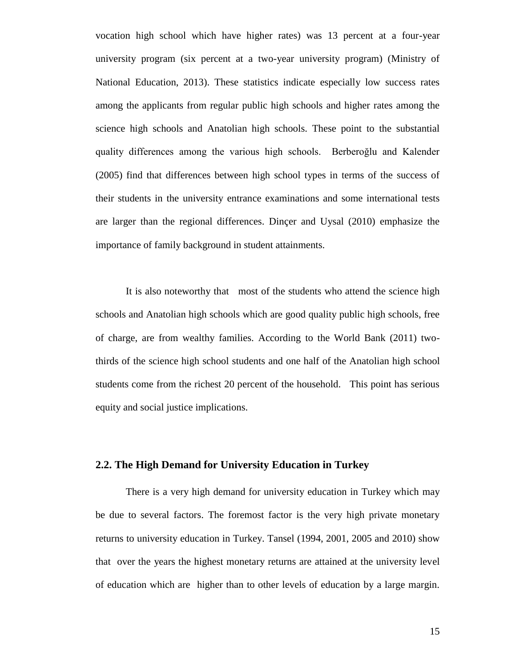vocation high school which have higher rates) was 13 percent at a four-year university program (six percent at a two-year university program) (Ministry of National Education, 2013). These statistics indicate especially low success rates among the applicants from regular public high schools and higher rates among the science high schools and Anatolian high schools. These point to the substantial quality differences among the various high schools. Berberoğlu and Kalender (2005) find that differences between high school types in terms of the success of their students in the university entrance examinations and some international tests are larger than the regional differences. Dinçer and Uysal (2010) emphasize the importance of family background in student attainments.

It is also noteworthy that most of the students who attend the science high schools and Anatolian high schools which are good quality public high schools, free of charge, are from wealthy families. According to the World Bank (2011) twothirds of the science high school students and one half of the Anatolian high school students come from the richest 20 percent of the household. This point has serious equity and social justice implications.

#### **2.2. The High Demand for University Education in Turkey**

There is a very high demand for university education in Turkey which may be due to several factors. The foremost factor is the very high private monetary returns to university education in Turkey. Tansel (1994, 2001, 2005 and 2010) show that over the years the highest monetary returns are attained at the university level of education which are higher than to other levels of education by a large margin.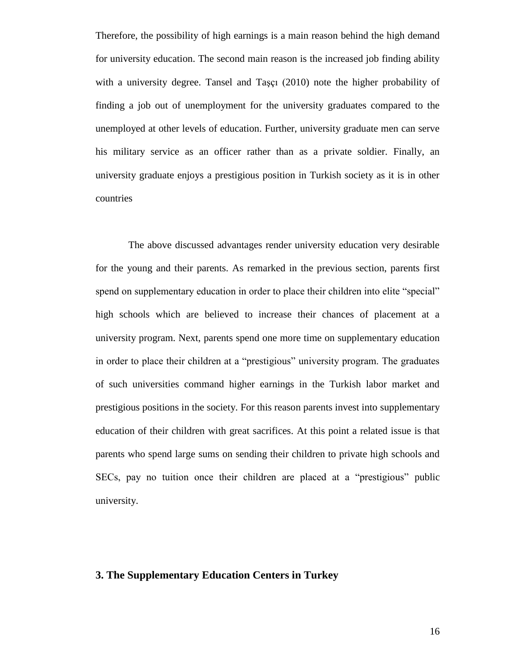Therefore, the possibility of high earnings is a main reason behind the high demand for university education. The second main reason is the increased job finding ability with a university degree. Tansel and Taşçı (2010) note the higher probability of finding a job out of unemployment for the university graduates compared to the unemployed at other levels of education. Further, university graduate men can serve his military service as an officer rather than as a private soldier. Finally, an university graduate enjoys a prestigious position in Turkish society as it is in other countries

The above discussed advantages render university education very desirable for the young and their parents. As remarked in the previous section, parents first spend on supplementary education in order to place their children into elite "special" high schools which are believed to increase their chances of placement at a university program. Next, parents spend one more time on supplementary education in order to place their children at a "prestigious" university program. The graduates of such universities command higher earnings in the Turkish labor market and prestigious positions in the society. For this reason parents invest into supplementary education of their children with great sacrifices. At this point a related issue is that parents who spend large sums on sending their children to private high schools and SECs, pay no tuition once their children are placed at a "prestigious" public university.

### **3. The Supplementary Education Centers in Turkey**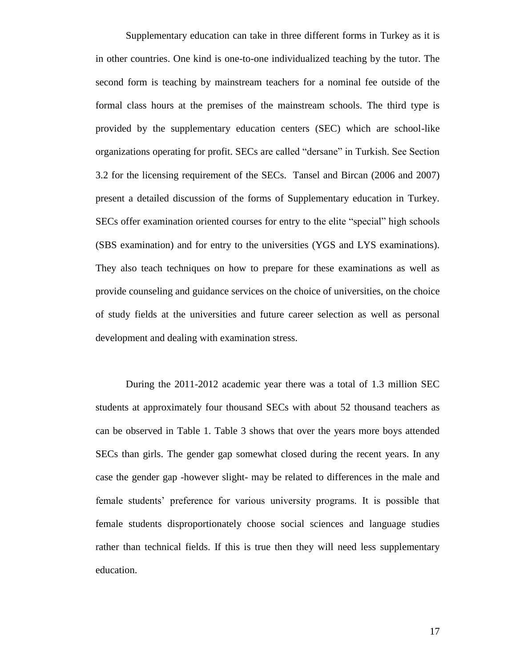Supplementary education can take in three different forms in Turkey as it is in other countries. One kind is one-to-one individualized teaching by the tutor. The second form is teaching by mainstream teachers for a nominal fee outside of the formal class hours at the premises of the mainstream schools. The third type is provided by the supplementary education centers (SEC) which are school-like organizations operating for profit. SECs are called "dersane" in Turkish. See Section 3.2 for the licensing requirement of the SECs. Tansel and Bircan (2006 and 2007) present a detailed discussion of the forms of Supplementary education in Turkey. SECs offer examination oriented courses for entry to the elite "special" high schools (SBS examination) and for entry to the universities (YGS and LYS examinations). They also teach techniques on how to prepare for these examinations as well as provide counseling and guidance services on the choice of universities, on the choice of study fields at the universities and future career selection as well as personal development and dealing with examination stress.

During the 2011-2012 academic year there was a total of 1.3 million SEC students at approximately four thousand SECs with about 52 thousand teachers as can be observed in Table 1. Table 3 shows that over the years more boys attended SECs than girls. The gender gap somewhat closed during the recent years. In any case the gender gap -however slight- may be related to differences in the male and female students' preference for various university programs. It is possible that female students disproportionately choose social sciences and language studies rather than technical fields. If this is true then they will need less supplementary education.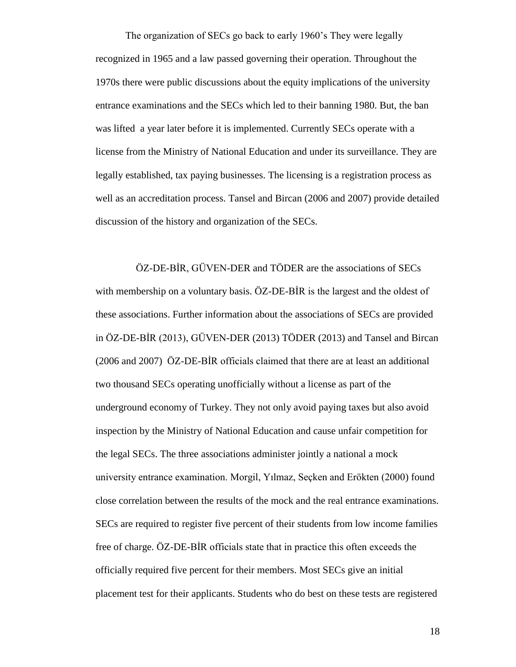The organization of SECs go back to early 1960's They were legally recognized in 1965 and a law passed governing their operation. Throughout the 1970s there were public discussions about the equity implications of the university entrance examinations and the SECs which led to their banning 1980. But, the ban was lifted a year later before it is implemented. Currently SECs operate with a license from the Ministry of National Education and under its surveillance. They are legally established, tax paying businesses. The licensing is a registration process as well as an accreditation process. Tansel and Bircan (2006 and 2007) provide detailed discussion of the history and organization of the SECs.

 ÖZ-DE-BİR, GÜVEN-DER and TÖDER are the associations of SECs with membership on a voluntary basis. ÖZ-DE-BIR is the largest and the oldest of these associations. Further information about the associations of SECs are provided in ÖZ-DE-BİR (2013), GÜVEN-DER (2013) TÖDER (2013) and Tansel and Bircan (2006 and 2007) ÖZ-DE-BİR officials claimed that there are at least an additional two thousand SECs operating unofficially without a license as part of the underground economy of Turkey. They not only avoid paying taxes but also avoid inspection by the Ministry of National Education and cause unfair competition for the legal SECs. The three associations administer jointly a national a mock university entrance examination. Morgil, Yılmaz, Seçken and Erökten (2000) found close correlation between the results of the mock and the real entrance examinations. SECs are required to register five percent of their students from low income families free of charge. ÖZ-DE-BİR officials state that in practice this often exceeds the officially required five percent for their members. Most SECs give an initial placement test for their applicants. Students who do best on these tests are registered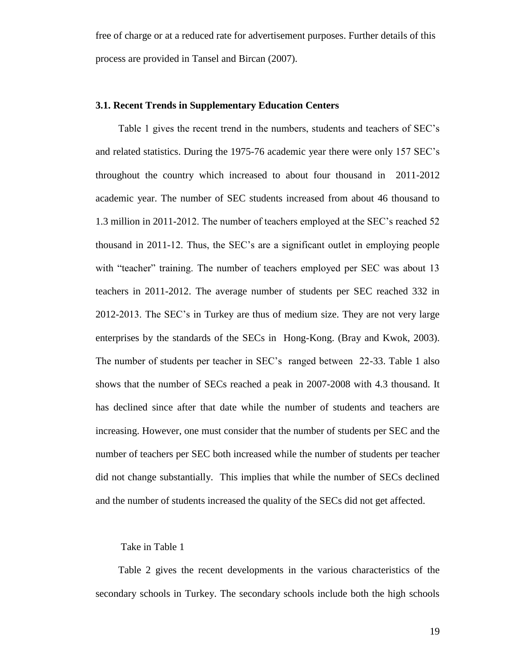free of charge or at a reduced rate for advertisement purposes. Further details of this process are provided in Tansel and Bircan (2007).

#### **3.1. Recent Trends in Supplementary Education Centers**

Table 1 gives the recent trend in the numbers, students and teachers of SEC's and related statistics. During the 1975-76 academic year there were only 157 SEC's throughout the country which increased to about four thousand in 2011-2012 academic year. The number of SEC students increased from about 46 thousand to 1.3 million in 2011-2012. The number of teachers employed at the SEC's reached 52 thousand in 2011-12. Thus, the SEC's are a significant outlet in employing people with "teacher" training. The number of teachers employed per SEC was about 13 teachers in 2011-2012. The average number of students per SEC reached 332 in 2012-2013. The SEC's in Turkey are thus of medium size. They are not very large enterprises by the standards of the SECs in Hong-Kong. (Bray and Kwok, 2003). The number of students per teacher in SEC's ranged between 22-33. Table 1 also shows that the number of SECs reached a peak in 2007-2008 with 4.3 thousand. It has declined since after that date while the number of students and teachers are increasing. However, one must consider that the number of students per SEC and the number of teachers per SEC both increased while the number of students per teacher did not change substantially. This implies that while the number of SECs declined and the number of students increased the quality of the SECs did not get affected.

#### Take in Table 1

Table 2 gives the recent developments in the various characteristics of the secondary schools in Turkey. The secondary schools include both the high schools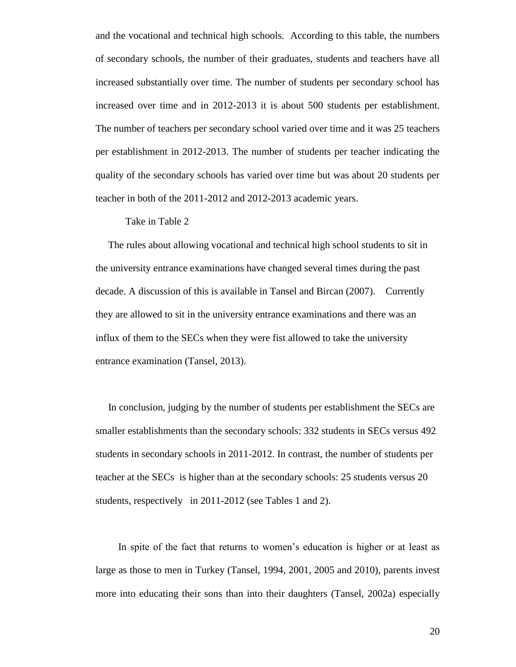and the vocational and technical high schools. According to this table, the numbers of secondary schools, the number of their graduates, students and teachers have all increased substantially over time. The number of students per secondary school has increased over time and in 2012-2013 it is about 500 students per establishment. The number of teachers per secondary school varied over time and it was 25 teachers per establishment in 2012-2013. The number of students per teacher indicating the quality of the secondary schools has varied over time but was about 20 students per teacher in both of the 2011-2012 and 2012-2013 academic years.

#### Take in Table 2

 The rules about allowing vocational and technical high school students to sit in the university entrance examinations have changed several times during the past decade. A discussion of this is available in Tansel and Bircan (2007). Currently they are allowed to sit in the university entrance examinations and there was an influx of them to the SECs when they were fist allowed to take the university entrance examination (Tansel, 2013).

 In conclusion, judging by the number of students per establishment the SECs are smaller establishments than the secondary schools: 332 students in SECs versus 492 students in secondary schools in 2011-2012. In contrast, the number of students per teacher at the SECs is higher than at the secondary schools: 25 students versus 20 students, respectively in 2011-2012 (see Tables 1 and 2).

In spite of the fact that returns to women's education is higher or at least as large as those to men in Turkey (Tansel, 1994, 2001, 2005 and 2010), parents invest more into educating their sons than into their daughters (Tansel, 2002a) especially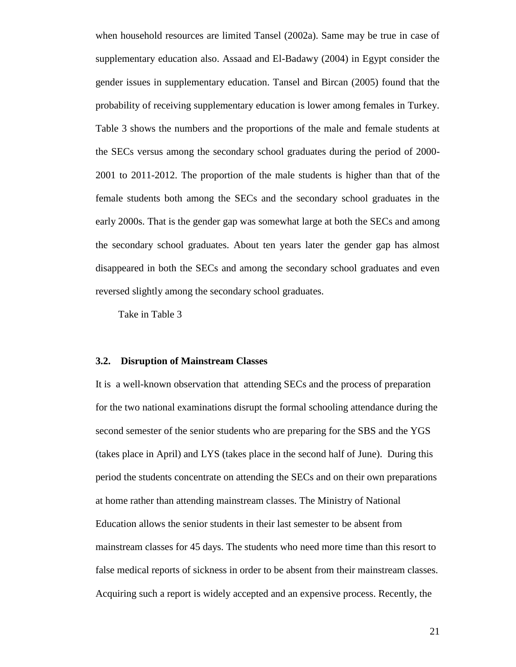when household resources are limited Tansel (2002a). Same may be true in case of supplementary education also. Assaad and El-Badawy (2004) in Egypt consider the gender issues in supplementary education. Tansel and Bircan (2005) found that the probability of receiving supplementary education is lower among females in Turkey. Table 3 shows the numbers and the proportions of the male and female students at the SECs versus among the secondary school graduates during the period of 2000- 2001 to 2011-2012. The proportion of the male students is higher than that of the female students both among the SECs and the secondary school graduates in the early 2000s. That is the gender gap was somewhat large at both the SECs and among the secondary school graduates. About ten years later the gender gap has almost disappeared in both the SECs and among the secondary school graduates and even reversed slightly among the secondary school graduates.

Take in Table 3

#### **3.2. Disruption of Mainstream Classes**

It is a well-known observation that attending SECs and the process of preparation for the two national examinations disrupt the formal schooling attendance during the second semester of the senior students who are preparing for the SBS and the YGS (takes place in April) and LYS (takes place in the second half of June). During this period the students concentrate on attending the SECs and on their own preparations at home rather than attending mainstream classes. The Ministry of National Education allows the senior students in their last semester to be absent from mainstream classes for 45 days. The students who need more time than this resort to false medical reports of sickness in order to be absent from their mainstream classes. Acquiring such a report is widely accepted and an expensive process. Recently, the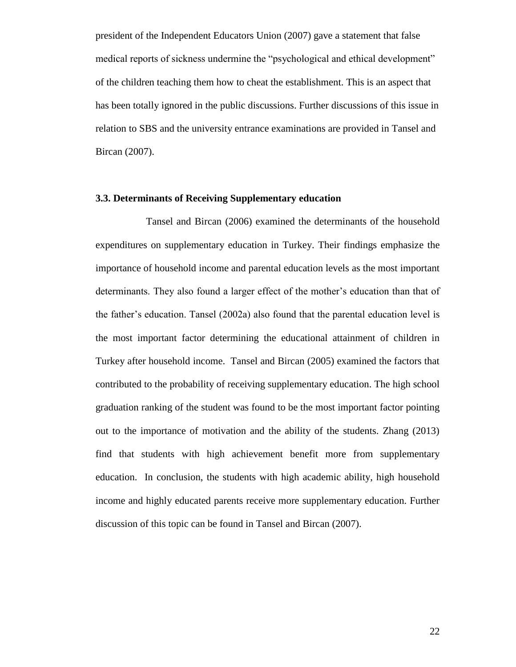president of the Independent Educators Union (2007) gave a statement that false medical reports of sickness undermine the "psychological and ethical development" of the children teaching them how to cheat the establishment. This is an aspect that has been totally ignored in the public discussions. Further discussions of this issue in relation to SBS and the university entrance examinations are provided in Tansel and Bircan (2007).

#### **3.3. Determinants of Receiving Supplementary education**

 Tansel and Bircan (2006) examined the determinants of the household expenditures on supplementary education in Turkey. Their findings emphasize the importance of household income and parental education levels as the most important determinants. They also found a larger effect of the mother's education than that of the father's education. Tansel (2002a) also found that the parental education level is the most important factor determining the educational attainment of children in Turkey after household income. Tansel and Bircan (2005) examined the factors that contributed to the probability of receiving supplementary education. The high school graduation ranking of the student was found to be the most important factor pointing out to the importance of motivation and the ability of the students. Zhang (2013) find that students with high achievement benefit more from supplementary education. In conclusion, the students with high academic ability, high household income and highly educated parents receive more supplementary education. Further discussion of this topic can be found in Tansel and Bircan (2007).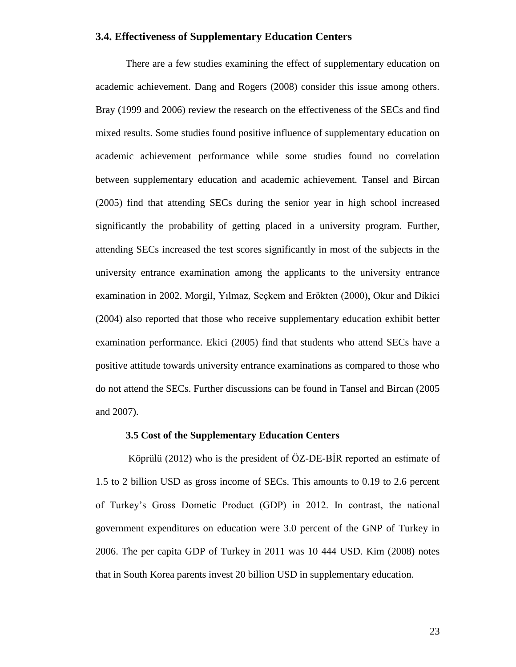#### **3.4. Effectiveness of Supplementary Education Centers**

There are a few studies examining the effect of supplementary education on academic achievement. Dang and Rogers (2008) consider this issue among others. Bray (1999 and 2006) review the research on the effectiveness of the SECs and find mixed results. Some studies found positive influence of supplementary education on academic achievement performance while some studies found no correlation between supplementary education and academic achievement. Tansel and Bircan (2005) find that attending SECs during the senior year in high school increased significantly the probability of getting placed in a university program. Further, attending SECs increased the test scores significantly in most of the subjects in the university entrance examination among the applicants to the university entrance examination in 2002. Morgil, Yılmaz, Seçkem and Erökten (2000), Okur and Dikici (2004) also reported that those who receive supplementary education exhibit better examination performance. Ekici (2005) find that students who attend SECs have a positive attitude towards university entrance examinations as compared to those who do not attend the SECs. Further discussions can be found in Tansel and Bircan (2005 and 2007).

#### **3.5 Cost of the Supplementary Education Centers**

Köprülü (2012) who is the president of ÖZ-DE-BİR reported an estimate of 1.5 to 2 billion USD as gross income of SECs. This amounts to 0.19 to 2.6 percent of Turkey's Gross Dometic Product (GDP) in 2012. In contrast, the national government expenditures on education were 3.0 percent of the GNP of Turkey in 2006. The per capita GDP of Turkey in 2011 was 10 444 USD. Kim (2008) notes that in South Korea parents invest 20 billion USD in supplementary education.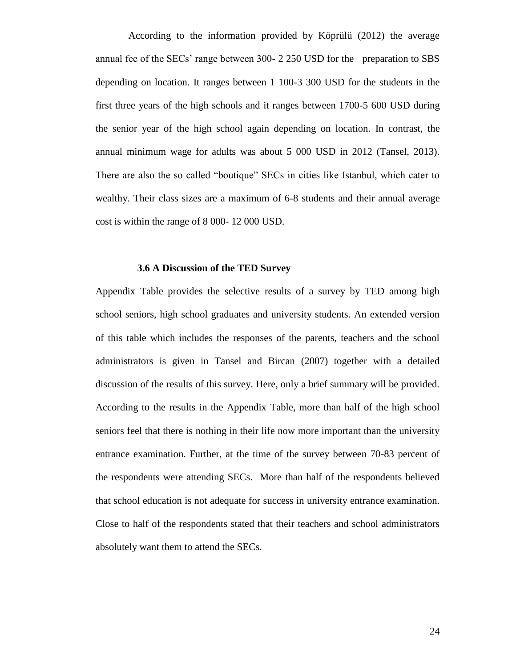According to the information provided by Köprülü (2012) the average annual fee of the SECs' range between 300- 2 250 USD for the preparation to SBS depending on location. It ranges between 1 100-3 300 USD for the students in the first three years of the high schools and it ranges between 1700-5 600 USD during the senior year of the high school again depending on location. In contrast, the annual minimum wage for adults was about 5 000 USD in 2012 (Tansel, 2013). There are also the so called "boutique" SECs in cities like Istanbul, which cater to wealthy. Their class sizes are a maximum of 6-8 students and their annual average cost is within the range of 8 000- 12 000 USD.

#### **3.6 A Discussion of the TED Survey**

Appendix Table provides the selective results of a survey by TED among high school seniors, high school graduates and university students. An extended version of this table which includes the responses of the parents, teachers and the school administrators is given in Tansel and Bircan (2007) together with a detailed discussion of the results of this survey. Here, only a brief summary will be provided. According to the results in the Appendix Table, more than half of the high school seniors feel that there is nothing in their life now more important than the university entrance examination. Further, at the time of the survey between 70-83 percent of the respondents were attending SECs. More than half of the respondents believed that school education is not adequate for success in university entrance examination. Close to half of the respondents stated that their teachers and school administrators absolutely want them to attend the SECs.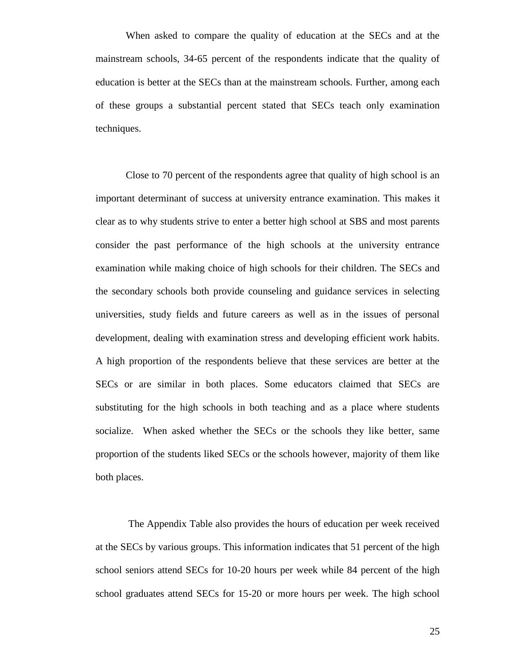When asked to compare the quality of education at the SECs and at the mainstream schools, 34-65 percent of the respondents indicate that the quality of education is better at the SECs than at the mainstream schools. Further, among each of these groups a substantial percent stated that SECs teach only examination techniques.

Close to 70 percent of the respondents agree that quality of high school is an important determinant of success at university entrance examination. This makes it clear as to why students strive to enter a better high school at SBS and most parents consider the past performance of the high schools at the university entrance examination while making choice of high schools for their children. The SECs and the secondary schools both provide counseling and guidance services in selecting universities, study fields and future careers as well as in the issues of personal development, dealing with examination stress and developing efficient work habits. A high proportion of the respondents believe that these services are better at the SECs or are similar in both places. Some educators claimed that SECs are substituting for the high schools in both teaching and as a place where students socialize. When asked whether the SECs or the schools they like better, same proportion of the students liked SECs or the schools however, majority of them like both places.

The Appendix Table also provides the hours of education per week received at the SECs by various groups. This information indicates that 51 percent of the high school seniors attend SECs for 10-20 hours per week while 84 percent of the high school graduates attend SECs for 15-20 or more hours per week. The high school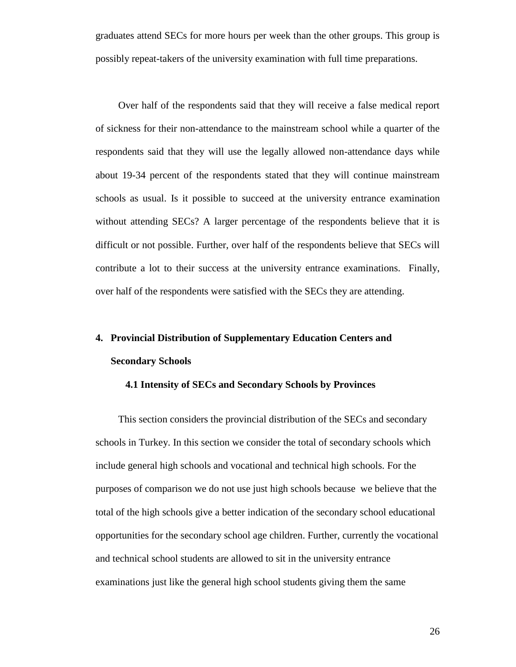graduates attend SECs for more hours per week than the other groups. This group is possibly repeat-takers of the university examination with full time preparations.

Over half of the respondents said that they will receive a false medical report of sickness for their non-attendance to the mainstream school while a quarter of the respondents said that they will use the legally allowed non-attendance days while about 19-34 percent of the respondents stated that they will continue mainstream schools as usual. Is it possible to succeed at the university entrance examination without attending SECs? A larger percentage of the respondents believe that it is difficult or not possible. Further, over half of the respondents believe that SECs will contribute a lot to their success at the university entrance examinations. Finally, over half of the respondents were satisfied with the SECs they are attending.

## **4. Provincial Distribution of Supplementary Education Centers and Secondary Schools**

#### **4.1 Intensity of SECs and Secondary Schools by Provinces**

 This section considers the provincial distribution of the SECs and secondary schools in Turkey. In this section we consider the total of secondary schools which include general high schools and vocational and technical high schools. For the purposes of comparison we do not use just high schools because we believe that the total of the high schools give a better indication of the secondary school educational opportunities for the secondary school age children. Further, currently the vocational and technical school students are allowed to sit in the university entrance examinations just like the general high school students giving them the same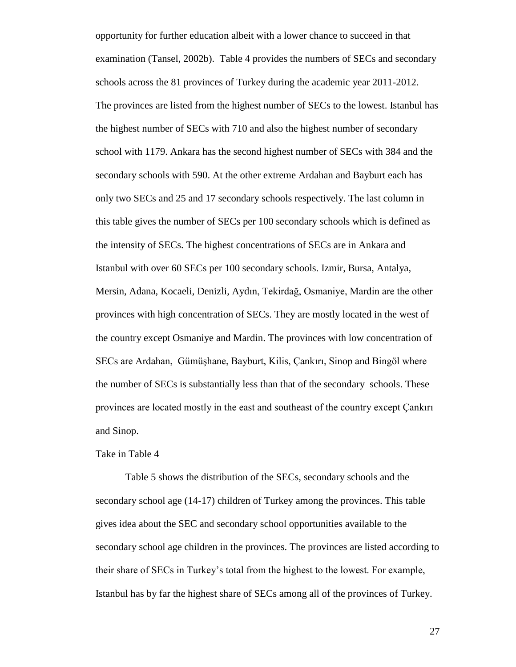opportunity for further education albeit with a lower chance to succeed in that examination (Tansel, 2002b). Table 4 provides the numbers of SECs and secondary schools across the 81 provinces of Turkey during the academic year 2011-2012. The provinces are listed from the highest number of SECs to the lowest. Istanbul has the highest number of SECs with 710 and also the highest number of secondary school with 1179. Ankara has the second highest number of SECs with 384 and the secondary schools with 590. At the other extreme Ardahan and Bayburt each has only two SECs and 25 and 17 secondary schools respectively. The last column in this table gives the number of SECs per 100 secondary schools which is defined as the intensity of SECs. The highest concentrations of SECs are in Ankara and Istanbul with over 60 SECs per 100 secondary schools. Izmir, Bursa, Antalya, Mersin, Adana, Kocaeli, Denizli, Aydın, Tekirdağ, Osmaniye, Mardin are the other provinces with high concentration of SECs. They are mostly located in the west of the country except Osmaniye and Mardin. The provinces with low concentration of SECs are Ardahan, Gümüşhane, Bayburt, Kilis, Çankırı, Sinop and Bingöl where the number of SECs is substantially less than that of the secondary schools. These provinces are located mostly in the east and southeast of the country except Çankırı and Sinop.

#### Take in Table 4

Table 5 shows the distribution of the SECs, secondary schools and the secondary school age (14-17) children of Turkey among the provinces. This table gives idea about the SEC and secondary school opportunities available to the secondary school age children in the provinces. The provinces are listed according to their share of SECs in Turkey's total from the highest to the lowest. For example, Istanbul has by far the highest share of SECs among all of the provinces of Turkey.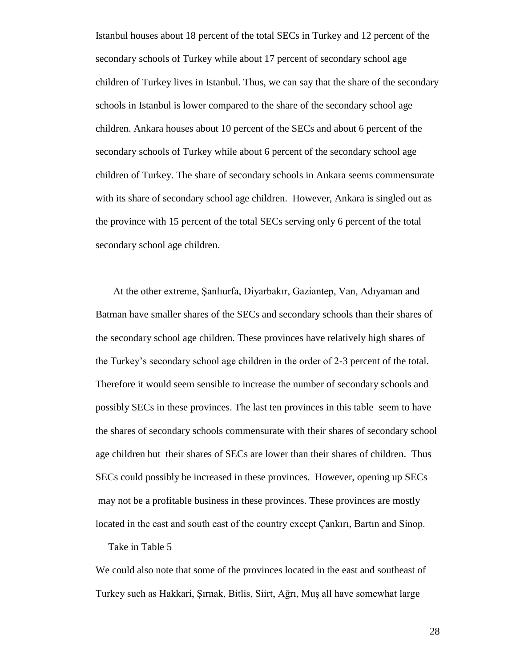Istanbul houses about 18 percent of the total SECs in Turkey and 12 percent of the secondary schools of Turkey while about 17 percent of secondary school age children of Turkey lives in Istanbul. Thus, we can say that the share of the secondary schools in Istanbul is lower compared to the share of the secondary school age children. Ankara houses about 10 percent of the SECs and about 6 percent of the secondary schools of Turkey while about 6 percent of the secondary school age children of Turkey. The share of secondary schools in Ankara seems commensurate with its share of secondary school age children. However, Ankara is singled out as the province with 15 percent of the total SECs serving only 6 percent of the total secondary school age children.

 At the other extreme, Şanlıurfa, Diyarbakır, Gaziantep, Van, Adıyaman and Batman have smaller shares of the SECs and secondary schools than their shares of the secondary school age children. These provinces have relatively high shares of the Turkey's secondary school age children in the order of 2-3 percent of the total. Therefore it would seem sensible to increase the number of secondary schools and possibly SECs in these provinces. The last ten provinces in this table seem to have the shares of secondary schools commensurate with their shares of secondary school age children but their shares of SECs are lower than their shares of children. Thus SECs could possibly be increased in these provinces. However, opening up SECs may not be a profitable business in these provinces. These provinces are mostly located in the east and south east of the country except Çankırı, Bartın and Sinop.

Take in Table 5

We could also note that some of the provinces located in the east and southeast of Turkey such as Hakkari, Şırnak, Bitlis, Siirt, Ağrı, Muş all have somewhat large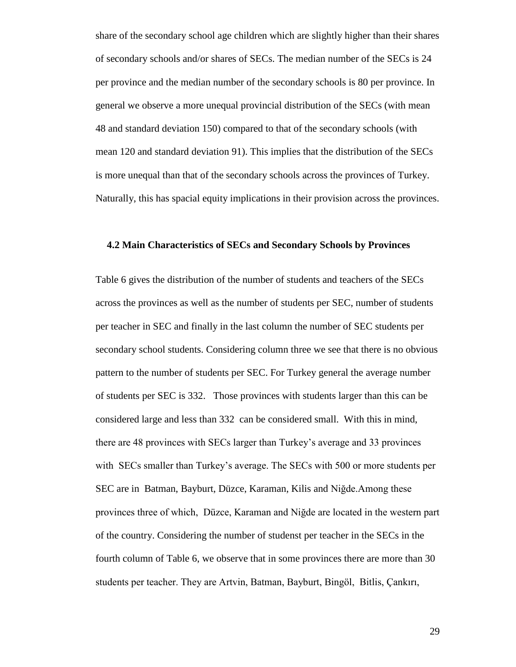share of the secondary school age children which are slightly higher than their shares of secondary schools and/or shares of SECs. The median number of the SECs is 24 per province and the median number of the secondary schools is 80 per province. In general we observe a more unequal provincial distribution of the SECs (with mean 48 and standard deviation 150) compared to that of the secondary schools (with mean 120 and standard deviation 91). This implies that the distribution of the SECs is more unequal than that of the secondary schools across the provinces of Turkey. Naturally, this has spacial equity implications in their provision across the provinces.

#### **4.2 Main Characteristics of SECs and Secondary Schools by Provinces**

Table 6 gives the distribution of the number of students and teachers of the SECs across the provinces as well as the number of students per SEC, number of students per teacher in SEC and finally in the last column the number of SEC students per secondary school students. Considering column three we see that there is no obvious pattern to the number of students per SEC. For Turkey general the average number of students per SEC is 332. Those provinces with students larger than this can be considered large and less than 332 can be considered small. With this in mind, there are 48 provinces with SECs larger than Turkey's average and 33 provinces with SECs smaller than Turkey's average. The SECs with 500 or more students per SEC are in Batman, Bayburt, Düzce, Karaman, Kilis and Niğde.Among these provinces three of which, Düzce, Karaman and Niğde are located in the western part of the country. Considering the number of studenst per teacher in the SECs in the fourth column of Table 6, we observe that in some provinces there are more than 30 students per teacher. They are Artvin, Batman, Bayburt, Bingöl, Bitlis, Çankırı,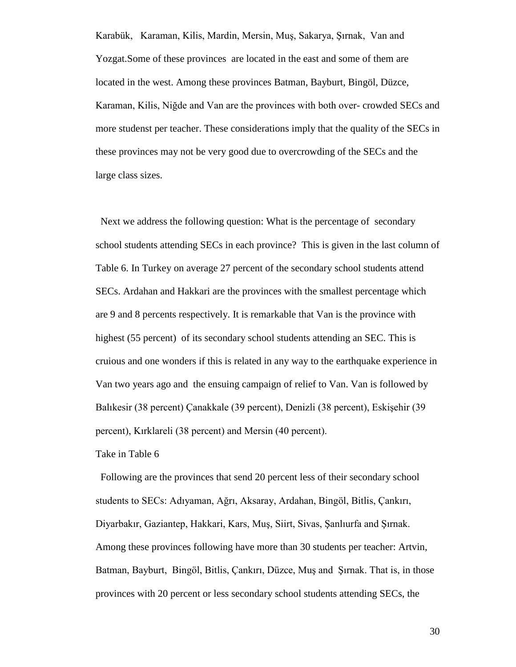Karabük, Karaman, Kilis, Mardin, Mersin, Muş, Sakarya, Şırnak, Van and Yozgat.Some of these provinces are located in the east and some of them are located in the west. Among these provinces Batman, Bayburt, Bingöl, Düzce, Karaman, Kilis, Niğde and Van are the provinces with both over- crowded SECs and more studenst per teacher. These considerations imply that the quality of the SECs in these provinces may not be very good due to overcrowding of the SECs and the large class sizes.

 Next we address the following question: What is the percentage of secondary school students attending SECs in each province? This is given in the last column of Table 6. In Turkey on average 27 percent of the secondary school students attend SECs. Ardahan and Hakkari are the provinces with the smallest percentage which are 9 and 8 percents respectively. It is remarkable that Van is the province with highest (55 percent) of its secondary school students attending an SEC. This is cruious and one wonders if this is related in any way to the earthquake experience in Van two years ago and the ensuing campaign of relief to Van. Van is followed by Balıkesir (38 percent) Çanakkale (39 percent), Denizli (38 percent), Eskişehir (39 percent), Kırklareli (38 percent) and Mersin (40 percent).

#### Take in Table 6

 Following are the provinces that send 20 percent less of their secondary school students to SECs: Adıyaman, Ağrı, Aksaray, Ardahan, Bingöl, Bitlis, Çankırı, Diyarbakır, Gaziantep, Hakkari, Kars, Muş, Siirt, Sivas, Şanlıurfa and Şırnak. Among these provinces following have more than 30 students per teacher: Artvin, Batman, Bayburt, Bingöl, Bitlis, Çankırı, Düzce, Muş and Şırnak. That is, in those provinces with 20 percent or less secondary school students attending SECs, the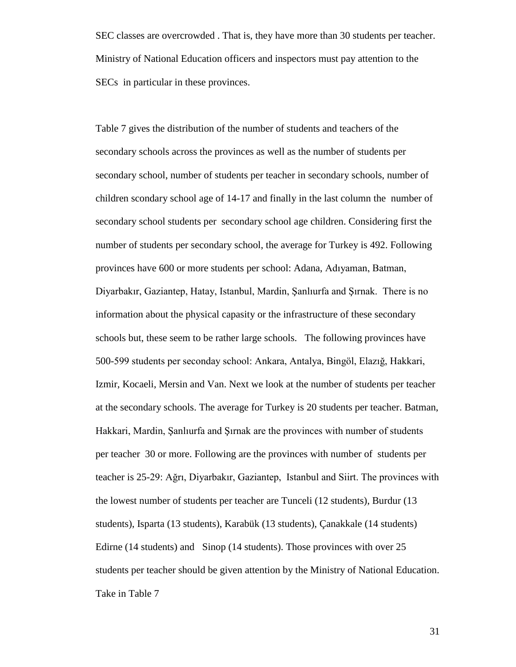SEC classes are overcrowded . That is, they have more than 30 students per teacher. Ministry of National Education officers and inspectors must pay attention to the SECs in particular in these provinces.

Table 7 gives the distribution of the number of students and teachers of the secondary schools across the provinces as well as the number of students per secondary school, number of students per teacher in secondary schools, number of children scondary school age of 14-17 and finally in the last column the number of secondary school students per secondary school age children. Considering first the number of students per secondary school, the average for Turkey is 492. Following provinces have 600 or more students per school: Adana, Adıyaman, Batman, Diyarbakır, Gaziantep, Hatay, Istanbul, Mardin, Şanlıurfa and Şırnak. There is no information about the physical capasity or the infrastructure of these secondary schools but, these seem to be rather large schools. The following provinces have 500-599 students per seconday school: Ankara, Antalya, Bingöl, Elazığ, Hakkari, Izmir, Kocaeli, Mersin and Van. Next we look at the number of students per teacher at the secondary schools. The average for Turkey is 20 students per teacher. Batman, Hakkari, Mardin, Şanlıurfa and Şırnak are the provinces with number of students per teacher 30 or more. Following are the provinces with number of students per teacher is 25-29: Ağrı, Diyarbakır, Gaziantep, Istanbul and Siirt. The provinces with the lowest number of students per teacher are Tunceli (12 students), Burdur (13 students), Isparta (13 students), Karabük (13 students), Çanakkale (14 students) Edirne (14 students) and Sinop (14 students). Those provinces with over 25 students per teacher should be given attention by the Ministry of National Education. Take in Table 7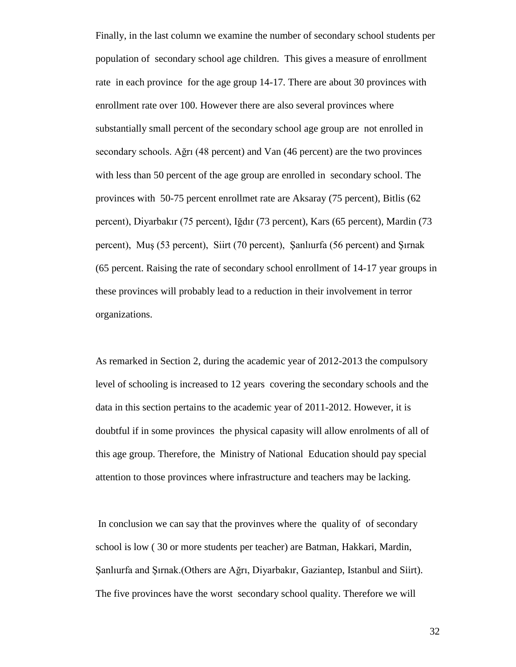Finally, in the last column we examine the number of secondary school students per population of secondary school age children. This gives a measure of enrollment rate in each province for the age group 14-17. There are about 30 provinces with enrollment rate over 100. However there are also several provinces where substantially small percent of the secondary school age group are not enrolled in secondary schools. Ağrı (48 percent) and Van (46 percent) are the two provinces with less than 50 percent of the age group are enrolled in secondary school. The provinces with 50-75 percent enrollmet rate are Aksaray (75 percent), Bitlis (62 percent), Diyarbakır (75 percent), Iğdır (73 percent), Kars (65 percent), Mardin (73 percent), Muş (53 percent), Siirt (70 percent), Şanlıurfa (56 percent) and Şırnak (65 percent. Raising the rate of secondary school enrollment of 14-17 year groups in these provinces will probably lead to a reduction in their involvement in terror organizations.

As remarked in Section 2, during the academic year of 2012-2013 the compulsory level of schooling is increased to 12 years covering the secondary schools and the data in this section pertains to the academic year of 2011-2012. However, it is doubtful if in some provinces the physical capasity will allow enrolments of all of this age group. Therefore, the Ministry of National Education should pay special attention to those provinces where infrastructure and teachers may be lacking.

In conclusion we can say that the provinves where the quality of of secondary school is low ( 30 or more students per teacher) are Batman, Hakkari, Mardin, Şanlıurfa and Şırnak.(Others are Ağrı, Diyarbakır, Gaziantep, Istanbul and Siirt). The five provinces have the worst secondary school quality. Therefore we will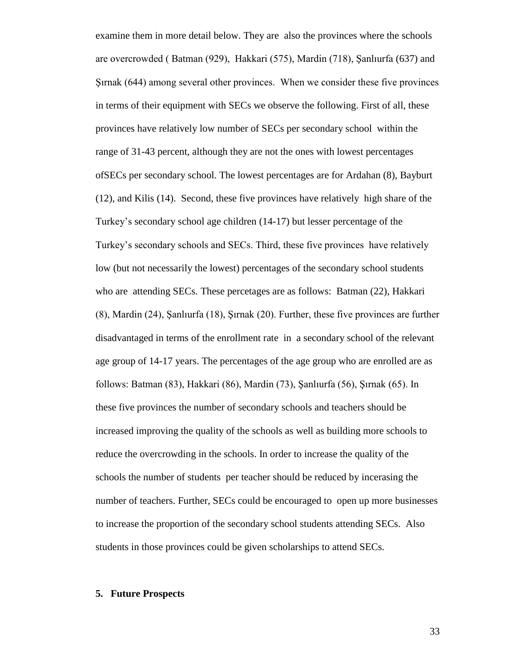examine them in more detail below. They are also the provinces where the schools are overcrowded ( Batman (929), Hakkari (575), Mardin (718), Şanlıurfa (637) and Şırnak (644) among several other provinces. When we consider these five provinces in terms of their equipment with SECs we observe the following. First of all, these provinces have relatively low number of SECs per secondary school within the range of 31-43 percent, although they are not the ones with lowest percentages ofSECs per secondary school. The lowest percentages are for Ardahan (8), Bayburt (12), and Kilis (14). Second, these five provinces have relatively high share of the Turkey's secondary school age children (14-17) but lesser percentage of the Turkey's secondary schools and SECs. Third, these five provinces have relatively low (but not necessarily the lowest) percentages of the secondary school students who are attending SECs. These percetages are as follows: Batman (22), Hakkari (8), Mardin (24), Şanlıurfa (18), Şırnak (20). Further, these five provinces are further disadvantaged in terms of the enrollment rate in a secondary school of the relevant age group of 14-17 years. The percentages of the age group who are enrolled are as follows: Batman (83), Hakkari (86), Mardin (73), Şanlıurfa (56), Şırnak (65). In these five provinces the number of secondary schools and teachers should be increased improving the quality of the schools as well as building more schools to reduce the overcrowding in the schools. In order to increase the quality of the schools the number of students per teacher should be reduced by incerasing the number of teachers. Further, SECs could be encouraged to open up more businesses to increase the proportion of the secondary school students attending SECs. Also students in those provinces could be given scholarships to attend SECs.

#### **5. Future Prospects**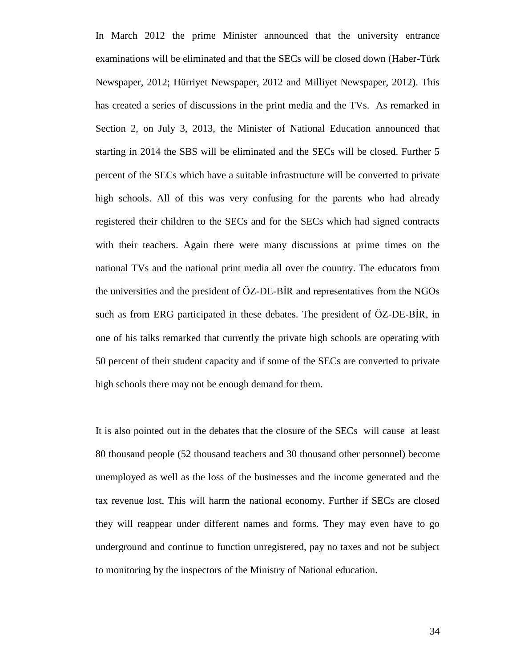In March 2012 the prime Minister announced that the university entrance examinations will be eliminated and that the SECs will be closed down (Haber-Türk Newspaper, 2012; Hürriyet Newspaper, 2012 and Milliyet Newspaper, 2012). This has created a series of discussions in the print media and the TVs. As remarked in Section 2, on July 3, 2013, the Minister of National Education announced that starting in 2014 the SBS will be eliminated and the SECs will be closed. Further 5 percent of the SECs which have a suitable infrastructure will be converted to private high schools. All of this was very confusing for the parents who had already registered their children to the SECs and for the SECs which had signed contracts with their teachers. Again there were many discussions at prime times on the national TVs and the national print media all over the country. The educators from the universities and the president of ÖZ-DE-BİR and representatives from the NGOs such as from ERG participated in these debates. The president of ÖZ-DE-BİR, in one of his talks remarked that currently the private high schools are operating with 50 percent of their student capacity and if some of the SECs are converted to private high schools there may not be enough demand for them.

It is also pointed out in the debates that the closure of the SECs will cause at least 80 thousand people (52 thousand teachers and 30 thousand other personnel) become unemployed as well as the loss of the businesses and the income generated and the tax revenue lost. This will harm the national economy. Further if SECs are closed they will reappear under different names and forms. They may even have to go underground and continue to function unregistered, pay no taxes and not be subject to monitoring by the inspectors of the Ministry of National education.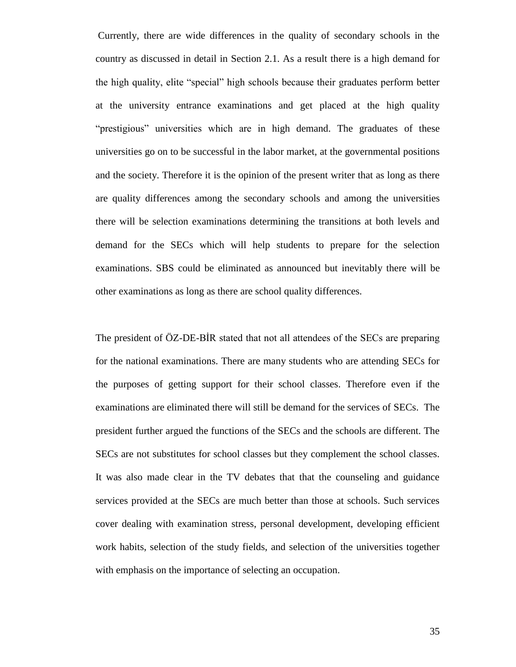Currently, there are wide differences in the quality of secondary schools in the country as discussed in detail in Section 2.1. As a result there is a high demand for the high quality, elite "special" high schools because their graduates perform better at the university entrance examinations and get placed at the high quality "prestigious" universities which are in high demand. The graduates of these universities go on to be successful in the labor market, at the governmental positions and the society. Therefore it is the opinion of the present writer that as long as there are quality differences among the secondary schools and among the universities there will be selection examinations determining the transitions at both levels and demand for the SECs which will help students to prepare for the selection examinations. SBS could be eliminated as announced but inevitably there will be other examinations as long as there are school quality differences.

The president of ÖZ-DE-BİR stated that not all attendees of the SECs are preparing for the national examinations. There are many students who are attending SECs for the purposes of getting support for their school classes. Therefore even if the examinations are eliminated there will still be demand for the services of SECs. The president further argued the functions of the SECs and the schools are different. The SECs are not substitutes for school classes but they complement the school classes. It was also made clear in the TV debates that that the counseling and guidance services provided at the SECs are much better than those at schools. Such services cover dealing with examination stress, personal development, developing efficient work habits, selection of the study fields, and selection of the universities together with emphasis on the importance of selecting an occupation.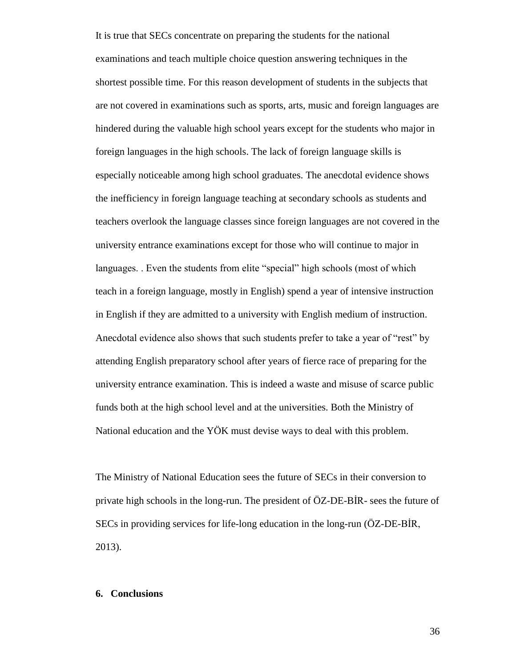It is true that SECs concentrate on preparing the students for the national examinations and teach multiple choice question answering techniques in the shortest possible time. For this reason development of students in the subjects that are not covered in examinations such as sports, arts, music and foreign languages are hindered during the valuable high school years except for the students who major in foreign languages in the high schools. The lack of foreign language skills is especially noticeable among high school graduates. The anecdotal evidence shows the inefficiency in foreign language teaching at secondary schools as students and teachers overlook the language classes since foreign languages are not covered in the university entrance examinations except for those who will continue to major in languages. . Even the students from elite "special" high schools (most of which teach in a foreign language, mostly in English) spend a year of intensive instruction in English if they are admitted to a university with English medium of instruction. Anecdotal evidence also shows that such students prefer to take a year of "rest" by attending English preparatory school after years of fierce race of preparing for the university entrance examination. This is indeed a waste and misuse of scarce public funds both at the high school level and at the universities. Both the Ministry of National education and the YÖK must devise ways to deal with this problem.

The Ministry of National Education sees the future of SECs in their conversion to private high schools in the long-run. The president of ÖZ-DE-BİR- sees the future of SECs in providing services for life-long education in the long-run (ÖZ-DE-BİR, 2013).

#### **6. Conclusions**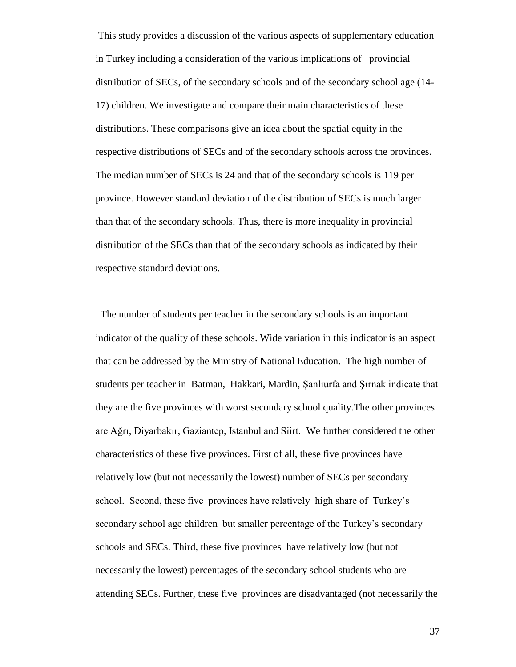This study provides a discussion of the various aspects of supplementary education in Turkey including a consideration of the various implications of provincial distribution of SECs, of the secondary schools and of the secondary school age (14- 17) children. We investigate and compare their main characteristics of these distributions. These comparisons give an idea about the spatial equity in the respective distributions of SECs and of the secondary schools across the provinces. The median number of SECs is 24 and that of the secondary schools is 119 per province. However standard deviation of the distribution of SECs is much larger than that of the secondary schools. Thus, there is more inequality in provincial distribution of the SECs than that of the secondary schools as indicated by their respective standard deviations.

The number of students per teacher in the secondary schools is an important indicator of the quality of these schools. Wide variation in this indicator is an aspect that can be addressed by the Ministry of National Education. The high number of students per teacher in Batman, Hakkari, Mardin, Şanlıurfa and Şırnak indicate that they are the five provinces with worst secondary school quality.The other provinces are Ağrı, Diyarbakır, Gaziantep, Istanbul and Siirt. We further considered the other characteristics of these five provinces. First of all, these five provinces have relatively low (but not necessarily the lowest) number of SECs per secondary school. Second, these five provinces have relatively high share of Turkey's secondary school age children but smaller percentage of the Turkey's secondary schools and SECs. Third, these five provinces have relatively low (but not necessarily the lowest) percentages of the secondary school students who are attending SECs. Further, these five provinces are disadvantaged (not necessarily the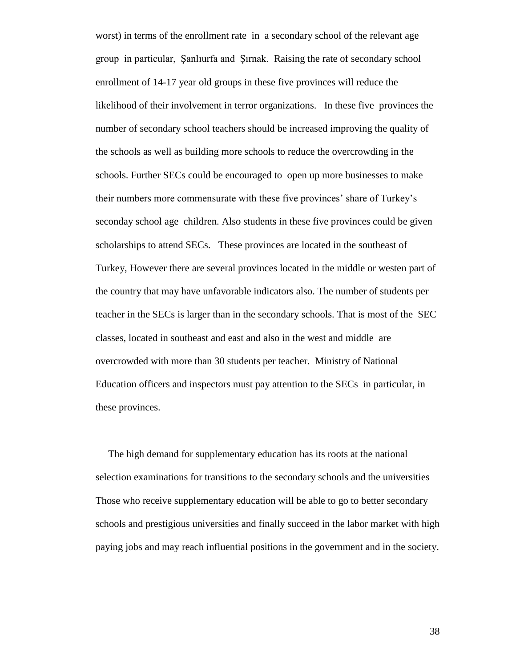worst) in terms of the enrollment rate in a secondary school of the relevant age group in particular, Şanlıurfa and Şırnak. Raising the rate of secondary school enrollment of 14-17 year old groups in these five provinces will reduce the likelihood of their involvement in terror organizations. In these five provinces the number of secondary school teachers should be increased improving the quality of the schools as well as building more schools to reduce the overcrowding in the schools. Further SECs could be encouraged to open up more businesses to make their numbers more commensurate with these five provinces' share of Turkey's seconday school age children. Also students in these five provinces could be given scholarships to attend SECs. These provinces are located in the southeast of Turkey, However there are several provinces located in the middle or westen part of the country that may have unfavorable indicators also. The number of students per teacher in the SECs is larger than in the secondary schools. That is most of the SEC classes, located in southeast and east and also in the west and middle are overcrowded with more than 30 students per teacher. Ministry of National Education officers and inspectors must pay attention to the SECs in particular, in these provinces.

 The high demand for supplementary education has its roots at the national selection examinations for transitions to the secondary schools and the universities Those who receive supplementary education will be able to go to better secondary schools and prestigious universities and finally succeed in the labor market with high paying jobs and may reach influential positions in the government and in the society.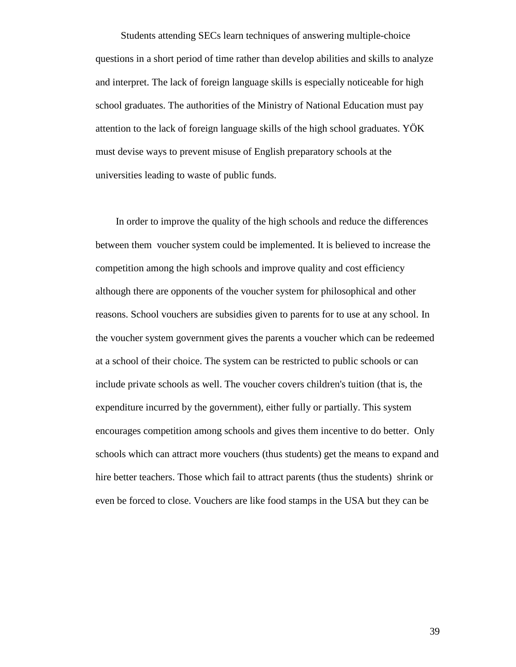Students attending SECs learn techniques of answering multiple-choice questions in a short period of time rather than develop abilities and skills to analyze and interpret. The lack of foreign language skills is especially noticeable for high school graduates. The authorities of the Ministry of National Education must pay attention to the lack of foreign language skills of the high school graduates. YÖK must devise ways to prevent misuse of English preparatory schools at the universities leading to waste of public funds.

 In order to improve the quality of the high schools and reduce the differences between them voucher system could be implemented. It is believed to increase the competition among the high schools and improve quality and cost efficiency although there are opponents of the voucher system for philosophical and other reasons. School vouchers are subsidies given to parents for to use at any school. In the voucher system government gives the parents a voucher which can be redeemed at a school of their choice. The system can be restricted to public schools or can include private schools as well. The voucher covers children's tuition (that is, the expenditure incurred by the government), either fully or partially. This system encourages competition among schools and gives them incentive to do better. Only schools which can attract more vouchers (thus students) get the means to expand and hire better teachers. Those which fail to attract parents (thus the students) shrink or even be forced to close. Vouchers are like food stamps in the USA but they can be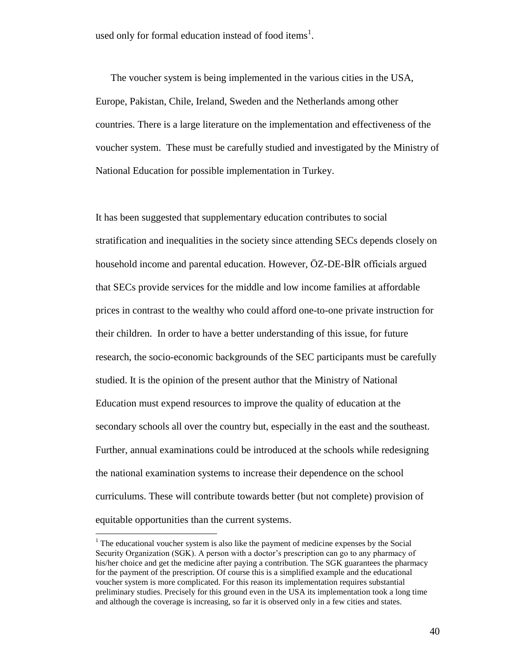used only for formal education instead of food items<sup>1</sup>.

 The voucher system is being implemented in the various cities in the USA, Europe, Pakistan, Chile, Ireland, Sweden and the Netherlands among other countries. There is a large literature on the implementation and effectiveness of the voucher system. These must be carefully studied and investigated by the Ministry of National Education for possible implementation in Turkey.

It has been suggested that supplementary education contributes to social stratification and inequalities in the society since attending SECs depends closely on household income and parental education. However, ÖZ-DE-BİR officials argued that SECs provide services for the middle and low income families at affordable prices in contrast to the wealthy who could afford one-to-one private instruction for their children. In order to have a better understanding of this issue, for future research, the socio-economic backgrounds of the SEC participants must be carefully studied. It is the opinion of the present author that the Ministry of National Education must expend resources to improve the quality of education at the secondary schools all over the country but, especially in the east and the southeast. Further, annual examinations could be introduced at the schools while redesigning the national examination systems to increase their dependence on the school curriculums. These will contribute towards better (but not complete) provision of equitable opportunities than the current systems.

 $\overline{a}$ 

 $1$ <sup>1</sup> The educational voucher system is also like the payment of medicine expenses by the Social Security Organization (SGK). A person with a doctor's prescription can go to any pharmacy of his/her choice and get the medicine after paying a contribution. The SGK guarantees the pharmacy for the payment of the prescription. Of course this is a simplified example and the educational voucher system is more complicated. For this reason its implementation requires substantial preliminary studies. Precisely for this ground even in the USA its implementation took a long time and although the coverage is increasing, so far it is observed only in a few cities and states.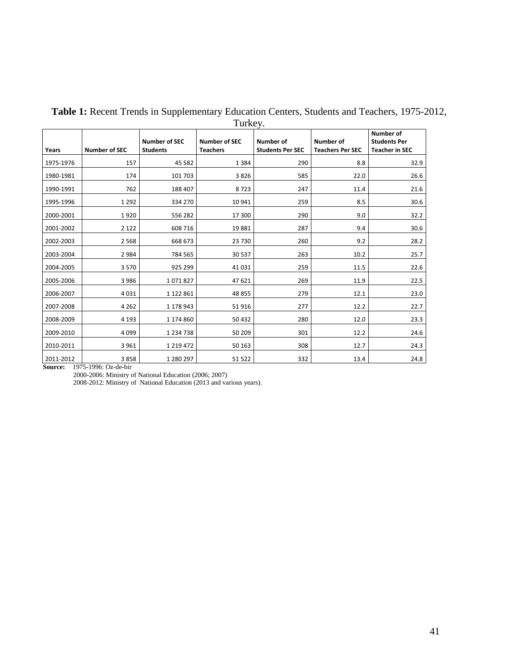| Years     | <b>Number of SEC</b> | <b>Number of SEC</b><br><b>Students</b> | <b>Number of SEC</b><br><b>Teachers</b> | Number of<br><b>Students Per SEC</b> | Number of<br><b>Teachers Per SEC</b> | Number of<br><b>Students Per</b><br><b>Teacher in SEC</b> |
|-----------|----------------------|-----------------------------------------|-----------------------------------------|--------------------------------------|--------------------------------------|-----------------------------------------------------------|
| 1975-1976 | 157                  | 45 5 82                                 | 1 3 8 4                                 | 290                                  | 8.8                                  | 32.9                                                      |
| 1980-1981 | 174                  | 101 703                                 | 3826                                    | 585                                  | 22.0                                 | 26.6                                                      |
| 1990-1991 | 762                  | 188 407                                 | 8723                                    | 247                                  | 11.4                                 | 21.6                                                      |
| 1995-1996 | 1 2 9 2              | 334 270                                 | 10 941                                  | 259                                  | 8.5                                  | 30.6                                                      |
| 2000-2001 | 1920                 | 556 282                                 | 17 300                                  | 290                                  | 9.0                                  | 32.2                                                      |
| 2001-2002 | 2 1 2 2              | 608 716                                 | 19881                                   | 287                                  | 9.4                                  | 30.6                                                      |
| 2002-2003 | 2 5 6 8              | 668 673                                 | 23 730                                  | 260                                  | 9.2                                  | 28.2                                                      |
| 2003-2004 | 2 9 8 4              | 784 565                                 | 30 5 37                                 | 263                                  | 10.2                                 | 25.7                                                      |
| 2004-2005 | 3570                 | 925 299                                 | 41 0 31                                 | 259                                  | 11.5                                 | 22.6                                                      |
| 2005-2006 | 3986                 | 1071827                                 | 47 621                                  | 269                                  | 11.9                                 | 22.5                                                      |
| 2006-2007 | 4031                 | 1 122 861                               | 48 855                                  | 279                                  | 12.1                                 | 23.0                                                      |
| 2007-2008 | 4 2 6 2              | 1 178 943                               | 51916                                   | 277                                  | 12.2                                 | 22.7                                                      |
| 2008-2009 | 4 1 9 3              | 1 174 860                               | 50 432                                  | 280                                  | 12.0                                 | 23.3                                                      |
| 2009-2010 | 4 0 9 9              | 1 2 3 4 7 3 8                           | 50 209                                  | 301                                  | 12.2                                 | 24.6                                                      |
| 2010-2011 | 3 9 6 1              | 1 2 1 9 4 7 2                           | 50 163                                  | 308                                  | 12.7                                 | 24.3                                                      |
| 2011-2012 | 3858                 | 1 280 297                               | 51 522                                  | 332                                  | 13.4                                 | 24.8                                                      |

**Table 1:** Recent Trends in Supplementary Education Centers, Students and Teachers, 1975-2012, Turkey.

**Source:** 1975-1996: Oz-de-bir

2000-2006: Ministry of National Education (2006; 2007)

2008-2012: Ministry of National Education (2013 and various years).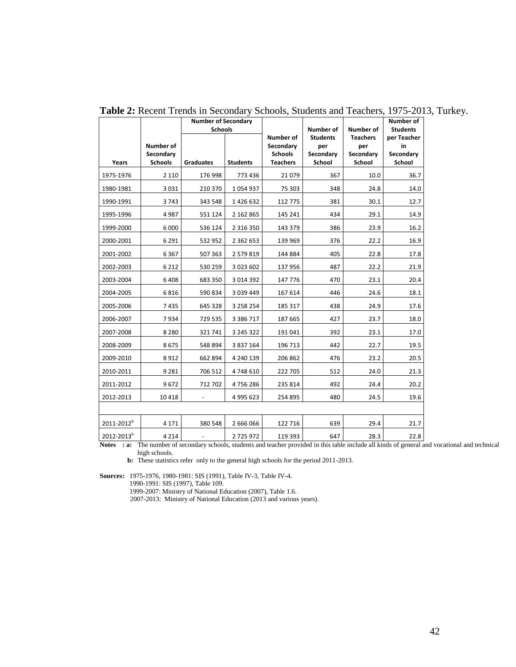|                        |                                          | <b>Number of Secondary</b><br><b>Schools</b> |                 | Number of                                                   | Number of                                     | Number of<br><b>Students</b>                         |                                                 |
|------------------------|------------------------------------------|----------------------------------------------|-----------------|-------------------------------------------------------------|-----------------------------------------------|------------------------------------------------------|-------------------------------------------------|
| Years                  | Number of<br>Secondary<br><b>Schools</b> | <b>Graduates</b>                             | <b>Students</b> | Number of<br>Secondary<br><b>Schools</b><br><b>Teachers</b> | <b>Students</b><br>per<br>Secondary<br>School | <b>Teachers</b><br>per<br>Secondary<br><b>School</b> | per Teacher<br>in<br>Secondary<br><b>School</b> |
| 1975-1976              | 2 1 1 0                                  | 176 998                                      | 773 436         | 21 0 79                                                     | 367                                           | 10.0                                                 | 36.7                                            |
| 1980-1981              | 3031                                     | 210 370                                      | 1054937         | 75 303                                                      | 348                                           | 24.8                                                 | 14.0                                            |
| 1990-1991              | 3743                                     | 343 548                                      | 1426632         | 112 775                                                     | 381                                           | 30.1                                                 | 12.7                                            |
| 1995-1996              | 4987                                     | 551 124                                      | 2 162 865       | 145 241                                                     | 434                                           | 29.1                                                 | 14.9                                            |
| 1999-2000              | 6 0 0 0                                  | 536 124                                      | 2 3 1 6 3 5 0   | 143 379                                                     | 386                                           | 23.9                                                 | 16.2                                            |
| 2000-2001              | 6 2 9 1                                  | 532 952                                      | 2 3 6 2 6 5 3   | 139 969                                                     | 376                                           | 22.2                                                 | 16.9                                            |
| 2001-2002              | 6367                                     | 507 363                                      | 2 579 819       | 144 884                                                     | 405                                           | 22.8                                                 | 17.8                                            |
| 2002-2003              | 6 2 1 2                                  | 530 259                                      | 3 0 2 3 6 0 2   | 137 956                                                     | 487                                           | 22.2                                                 | 21.9                                            |
| 2003-2004              | 6408                                     | 683 350                                      | 3 0 14 3 9 2    | 147 776                                                     | 470                                           | 23.1                                                 | 20.4                                            |
| 2004-2005              | 6816                                     | 590 834                                      | 3 0 3 9 4 4 9   | 167 614                                                     | 446                                           | 24.6                                                 | 18.1                                            |
| 2005-2006              | 7435                                     | 645 328                                      | 3 2 5 8 2 5 4   | 185 317                                                     | 438                                           | 24.9                                                 | 17.6                                            |
| 2006-2007              | 7934                                     | 729 535                                      | 3 3 8 6 7 1 7   | 187 665                                                     | 427                                           | 23.7                                                 | 18.0                                            |
| 2007-2008              | 8 2 8 0                                  | 321741                                       | 3 245 322       | 191 041                                                     | 392                                           | 23.1                                                 | 17.0                                            |
| 2008-2009              | 8675                                     | 548 894                                      | 3 837 164       | 196 713                                                     | 442                                           | 22.7                                                 | 19.5                                            |
| 2009-2010              | 8912                                     | 662 894                                      | 4 240 139       | 206 862                                                     | 476                                           | 23.2                                                 | 20.5                                            |
| 2010-2011              | 9 2 8 1                                  | 706 512                                      | 4748610         | 222 705                                                     | 512                                           | 24.0                                                 | 21.3                                            |
| 2011-2012              | 9672                                     | 712 702                                      | 4756286         | 235 814                                                     | 492                                           | 24.4                                                 | 20.2                                            |
| 2012-2013              | 10418                                    |                                              | 4 9 9 5 6 2 3   | 254 895                                                     | 480                                           | 24.5                                                 | 19.6                                            |
|                        |                                          |                                              |                 |                                                             |                                               |                                                      |                                                 |
| 2011-2012 <sup>b</sup> | 4 1 7 1                                  | 380 548                                      | 2 666 066       | 122 716                                                     | 639                                           | 29.4                                                 | 21.7                                            |
| 2012-2013 <sup>b</sup> | 4 2 1 4                                  | $-1 -$                                       | 2725972         | 119 393<br>$-1$                                             | 647<br>and a later<br>$41.3 - 4$              | 28.3                                                 | 22.8<br>$11.1111 + 11.121$                      |

**Table 2:** Recent Trends in Secondary Schools, Students and Teachers, 1975-2013, Turkey.

**Notes : a:** The number of secondary schools, students and teacher provided in this table include all kinds of general and vocational and technical high schools.

**b:** These statistics refer only to the general high schools for the period 2011-2013.

**Sources:** 1975-1976, 1980-1981: SIS (1991), Table IV-3, Table IV-4.

1990-1991: SIS (1997), Table 109.

1999-2007: Ministry of National Education (2007), Table 1.6.

2007-2013: Ministry of National Education (2013 and various years).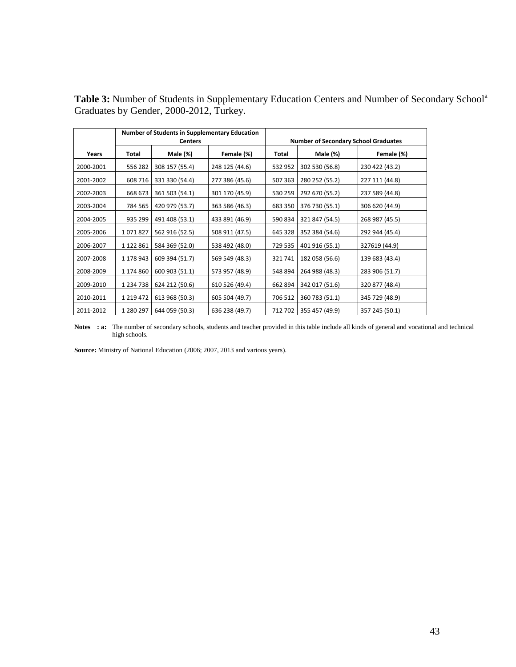|           |               | <b>Number of Students in Supplementary Education</b><br><b>Centers</b> |                | <b>Number of Secondary School Graduates</b> |                |                |  |
|-----------|---------------|------------------------------------------------------------------------|----------------|---------------------------------------------|----------------|----------------|--|
| Years     | Total         | Male (%)                                                               | Female (%)     | Total                                       | Male (%)       | Female (%)     |  |
| 2000-2001 | 556 282       | 308 157 (55.4)                                                         | 248 125 (44.6) | 532 952                                     | 302 530 (56.8) | 230 422 (43.2) |  |
| 2001-2002 | 608 716       | 331 330 (54.4)                                                         | 277 386 (45.6) | 507 363                                     | 280 252 (55.2) | 227 111 (44.8) |  |
| 2002-2003 | 668 673       | 361 503 (54.1)                                                         | 301 170 (45.9) | 530 259                                     | 292 670 (55.2) | 237 589 (44.8) |  |
| 2003-2004 | 784 565       | 420 979 (53.7)                                                         | 363 586 (46.3) | 683 350                                     | 376 730 (55.1) | 306 620 (44.9) |  |
| 2004-2005 | 935 299       | 491 408 (53.1)                                                         | 433 891 (46.9) | 590 834                                     | 321 847 (54.5) | 268 987 (45.5) |  |
| 2005-2006 | 1071827       | 562 916 (52.5)                                                         | 508 911 (47.5) | 645 328                                     | 352 384 (54.6) | 292 944 (45.4) |  |
| 2006-2007 | 1 122 861     | 584 369 (52.0)                                                         | 538 492 (48.0) | 729 535                                     | 401 916 (55.1) | 327619 (44.9)  |  |
| 2007-2008 | 1 178 943     | 609 394 (51.7)                                                         | 569 549 (48.3) | 321 741                                     | 182 058 (56.6) | 139 683 (43.4) |  |
| 2008-2009 | 1 174 860     | 600 903 (51.1)                                                         | 573 957 (48.9) | 548 894                                     | 264 988 (48.3) | 283 906 (51.7) |  |
| 2009-2010 | 1 2 3 4 7 3 8 | 624 212 (50.6)                                                         | 610 526 (49.4) | 662 894                                     | 342 017 (51.6) | 320 877 (48.4) |  |
| 2010-2011 | 1 2 1 9 4 7 2 | 613 968 (50.3)                                                         | 605 504 (49.7) | 706 512                                     | 360 783 (51.1) | 345 729 (48.9) |  |
| 2011-2012 | 1 280 297     | 644 059 (50.3)                                                         | 636 238 (49.7) | 712 702                                     | 355 457 (49.9) | 357 245 (50.1) |  |

Table 3: Number of Students in Supplementary Education Centers and Number of Secondary School<sup>a</sup> Graduates by Gender, 2000-2012, Turkey.

**Notes : a:** The number of secondary schools, students and teacher provided in this table include all kinds of general and vocational and technical high schools.

**Source:** Ministry of National Education (2006; 2007, 2013 and various years).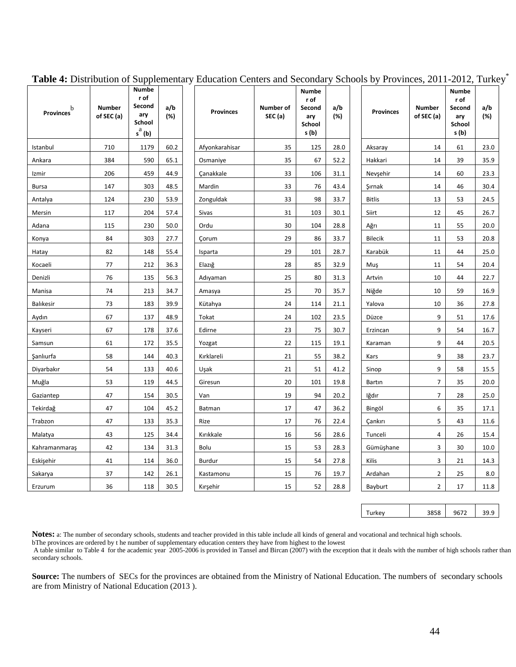| b<br><b>Provinces</b> | <b>Number</b><br>of SEC (a) | <b>Numbe</b><br>r of<br>Second<br>ary<br>School<br>$s^a$ (b) | a/b<br>(%) | <b>Provinces</b> | Number of<br>SEC(a) | <b>Numbe</b><br>r of<br>Second<br>ary<br>School<br>s (b) | a/b<br>(%) | <b>Provinces</b> | <b>Number</b><br>of SEC (a) | <b>Numbe</b><br>r of<br>Second<br>ary<br>School<br>s(b) | a/b<br>(%) |
|-----------------------|-----------------------------|--------------------------------------------------------------|------------|------------------|---------------------|----------------------------------------------------------|------------|------------------|-----------------------------|---------------------------------------------------------|------------|
| Istanbul              | 710                         | 1179                                                         | 60.2       | Afyonkarahisar   | 35                  | 125                                                      | 28.0       | Aksaray          | 14                          | 61                                                      | 23.0       |
| Ankara                | 384                         | 590                                                          | 65.1       | Osmaniye         | 35                  | 67                                                       | 52.2       | Hakkari          | 14                          | 39                                                      | 35.9       |
| Izmir                 | 206                         | 459                                                          | 44.9       | Canakkale        | 33                  | 106                                                      | 31.1       | Nevşehir         | 14                          | 60                                                      | 23.3       |
| <b>Bursa</b>          | 147                         | 303                                                          | 48.5       | Mardin           | 33                  | 76                                                       | 43.4       | Şırnak           | 14                          | 46                                                      | 30.4       |
| Antalya               | 124                         | 230                                                          | 53.9       | Zonguldak        | 33                  | 98                                                       | 33.7       | <b>Bitlis</b>    | 13                          | 53                                                      | 24.5       |
| Mersin                | 117                         | 204                                                          | 57.4       | Sivas            | 31                  | 103                                                      | 30.1       | Siirt            | 12                          | 45                                                      | 26.7       |
| Adana                 | 115                         | 230                                                          | 50.0       | Ordu             | 30                  | 104                                                      | 28.8       | Ağrı             | 11                          | 55                                                      | 20.0       |
| Konya                 | 84                          | 303                                                          | 27.7       | Corum            | 29                  | 86                                                       | 33.7       | <b>Bilecik</b>   | 11                          | 53                                                      | 20.8       |
| Hatay                 | 82                          | 148                                                          | 55.4       | Isparta          | 29                  | 101                                                      | 28.7       | Karabük          | 11                          | 44                                                      | 25.0       |
| Kocaeli               | 77                          | 212                                                          | 36.3       | Elazığ           | 28                  | 85                                                       | 32.9       | Muş              | 11                          | 54                                                      | 20.4       |
| Denizli               | 76                          | 135                                                          | 56.3       | Adıyaman         | 25                  | 80                                                       | 31.3       | Artvin           | 10                          | 44                                                      | 22.7       |
| Manisa                | 74                          | 213                                                          | 34.7       | Amasya           | 25                  | 70                                                       | 35.7       | Niğde            | 10                          | 59                                                      | 16.9       |
| Balıkesir             | 73                          | 183                                                          | 39.9       | Kütahya          | 24                  | 114                                                      | 21.1       | Yalova           | 10                          | 36                                                      | 27.8       |
| Aydın                 | 67                          | 137                                                          | 48.9       | Tokat            | 24                  | 102                                                      | 23.5       | Düzce            | 9                           | 51                                                      | 17.6       |
| Kayseri               | 67                          | 178                                                          | 37.6       | Edirne           | 23                  | 75                                                       | 30.7       | Erzincan         | 9                           | 54                                                      | 16.7       |
| Samsun                | 61                          | 172                                                          | 35.5       | Yozgat           | 22                  | 115                                                      | 19.1       | Karaman          | 9                           | 44                                                      | 20.5       |
| Şanlıurfa             | 58                          | 144                                                          | 40.3       | Kırklareli       | 21                  | 55                                                       | 38.2       | Kars             | 9                           | 38                                                      | 23.7       |
| Diyarbakır            | 54                          | 133                                                          | 40.6       | Uşak             | 21                  | 51                                                       | 41.2       | Sinop            | 9                           | 58                                                      | 15.5       |
| Muğla                 | 53                          | 119                                                          | 44.5       | Giresun          | 20                  | 101                                                      | 19.8       | Bartın           | $\overline{7}$              | 35                                                      | 20.0       |
| Gaziantep             | 47                          | 154                                                          | 30.5       | Van              | 19                  | 94                                                       | 20.2       | lğdır            | $\overline{7}$              | 28                                                      | 25.0       |
| Tekirdağ              | 47                          | 104                                                          | 45.2       | Batman           | 17                  | 47                                                       | 36.2       | Bingöl           | 6                           | 35                                                      | 17.1       |
| Trabzon               | 47                          | 133                                                          | 35.3       | Rize             | 17                  | 76                                                       | 22.4       | Çankırı          | 5                           | 43                                                      | 11.6       |
| Malatya               | 43                          | 125                                                          | 34.4       | Kırıkkale        | 16                  | 56                                                       | 28.6       | Tunceli          | 4                           | 26                                                      | 15.4       |
| Kahramanmaraş         | 42                          | 134                                                          | 31.3       | Bolu             | 15                  | 53                                                       | 28.3       | Gümüşhane        | 3                           | 30                                                      | 10.0       |
| Eskişehir             | 41                          | 114                                                          | 36.0       | Burdur           | 15                  | 54                                                       | 27.8       | <b>Kilis</b>     | 3                           | 21                                                      | 14.3       |
| Sakarya               | 37                          | 142                                                          | 26.1       | Kastamonu        | 15                  | 76                                                       | 19.7       | Ardahan          | $\overline{2}$              | 25                                                      | 8.0        |
| Erzurum               | 36                          | 118                                                          | 30.5       | Kırşehir         | 15                  | 52                                                       | 28.8       | Bayburt          | $\overline{2}$              | 17                                                      | 11.8       |

**Table 4:** Distribution of Supplementary Education Centers and Secondary Schools by Provinces, 2011-2012, Turkey\*

Turkey | 3858 9672 39.9

**Notes:** a: The number of secondary schools, students and teacher provided in this table include all kinds of general and vocational and technical high schools.

bThe provinces are ordered by t he number of supplementary education centers they have from highest to the lowest

A table similar to Table 4 for the academic year 2005-2006 is provided in Tansel and Bircan (2007) with the exception that it deals with the number of high schools rather than secondary schools.

Source: The numbers of SECs for the provinces are obtained from the Ministry of National Education. The numbers of secondary schools are from Ministry of National Education (2013 ).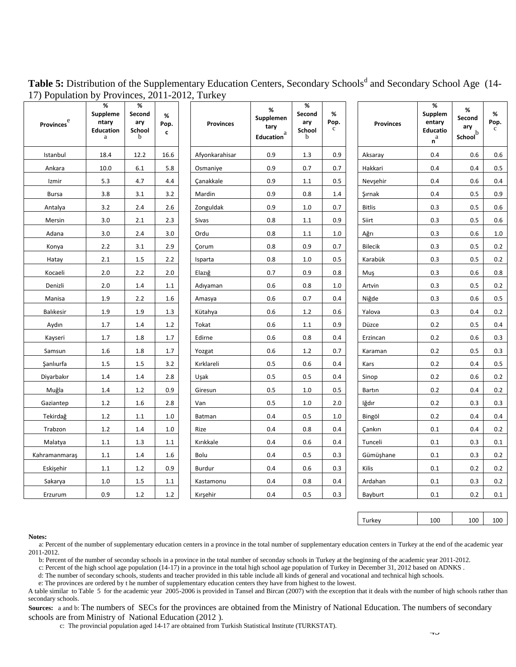Table 5: Distribution of the Supplementary Education Centers, Secondary Schools<sup>d</sup> and Secondary School Age (14-17) Population by Provinces, 2011-2012, Turkey

| $\mathsf{Provinces}^\mathsf{e}$ | %<br>Suppleme<br>ntary<br><b>Education</b><br>a | $\%$<br>Second<br>ary<br>School<br>b | %<br>Pop.<br>$\mathbf c$ | <b>Provinces</b> | $\%$<br>Supplemen<br>tary<br>Education | %<br>Second<br>ary<br>School<br>b | %<br>Pop.<br>$\mathbf{c}$ |                | <b>Provinces</b> | $\%$<br>Supplem<br>entary<br><b>Educatio</b><br>$\mathbf{n}^{\text{a}}$ | %<br>Second<br>ary<br>$\mathbf b$<br>School | %<br>Pop.<br>$\mathbf{c}$ |
|---------------------------------|-------------------------------------------------|--------------------------------------|--------------------------|------------------|----------------------------------------|-----------------------------------|---------------------------|----------------|------------------|-------------------------------------------------------------------------|---------------------------------------------|---------------------------|
| Istanbul                        | 18.4                                            | 12.2                                 | 16.6                     | Afyonkarahisar   | 0.9                                    | 1.3                               | 0.9                       | Aksaray        |                  | 0.4                                                                     | 0.6                                         | 0.6                       |
| Ankara                          | 10.0                                            | 6.1                                  | 5.8                      | Osmaniye         | 0.9                                    | 0.7                               | 0.7                       | Hakkari        |                  | 0.4                                                                     | 0.4                                         | 0.5                       |
| Izmir                           | 5.3                                             | 4.7                                  | 4.4                      | Canakkale        | 0.9                                    | 1.1                               | 0.5                       | Nevşehir       |                  | 0.4                                                                     | 0.6                                         | 0.4                       |
| <b>Bursa</b>                    | 3.8                                             | 3.1                                  | 3.2                      | Mardin           | 0.9                                    | 0.8                               | 1.4                       | <b>S</b> ırnak |                  | 0.4                                                                     | 0.5                                         | 0.9                       |
| Antalya                         | 3.2                                             | 2.4                                  | 2.6                      | Zonguldak        | 0.9                                    | 1.0                               | 0.7                       | <b>Bitlis</b>  |                  | 0.3                                                                     | 0.5                                         | 0.6                       |
| Mersin                          | 3.0                                             | 2.1                                  | 2.3                      | Sivas            | 0.8                                    | 1.1                               | 0.9                       | Siirt          |                  | 0.3                                                                     | 0.5                                         | 0.6                       |
| Adana                           | 3.0                                             | 2.4                                  | 3.0                      | Ordu             | 0.8                                    | 1.1                               | 1.0                       | Ağrı           |                  | 0.3                                                                     | 0.6                                         | 1.0                       |
| Konya                           | 2.2                                             | 3.1                                  | 2.9                      | Corum            | 0.8                                    | 0.9                               | 0.7                       | <b>Bilecik</b> |                  | 0.3                                                                     | 0.5                                         | 0.2                       |
| Hatay                           | 2.1                                             | 1.5                                  | 2.2                      | Isparta          | 0.8                                    | 1.0                               | 0.5                       | Karabük        |                  | 0.3                                                                     | 0.5                                         | 0.2                       |
| Kocaeli                         | $2.0$                                           | 2.2                                  | 2.0                      | Elazığ           | 0.7                                    | 0.9                               | 0.8                       | Muş            |                  | 0.3                                                                     | 0.6                                         | 0.8                       |
| Denizli                         | 2.0                                             | 1.4                                  | 1.1                      | Adıyaman         | 0.6                                    | 0.8                               | 1.0                       | Artvin         |                  | 0.3                                                                     | 0.5                                         | 0.2                       |
| Manisa                          | 1.9                                             | 2.2                                  | 1.6                      | Amasya           | 0.6                                    | 0.7                               | 0.4                       | Niğde          |                  | 0.3                                                                     | 0.6                                         | 0.5                       |
| <b>Balıkesir</b>                | 1.9                                             | 1.9                                  | 1.3                      | Kütahya          | 0.6                                    | 1.2                               | 0.6                       | Yalova         |                  | 0.3                                                                     | 0.4                                         | 0.2                       |
| Aydın                           | 1.7                                             | $1.4\,$                              | 1.2                      | Tokat            | 0.6                                    | 1.1                               | 0.9                       | Düzce          |                  | 0.2                                                                     | 0.5                                         | 0.4                       |
| Kayseri                         | 1.7                                             | 1.8                                  | 1.7                      | Edirne           | 0.6                                    | 0.8                               | 0.4                       | Erzincan       |                  | 0.2                                                                     | 0.6                                         | 0.3                       |
| Samsun                          | 1.6                                             | 1.8                                  | 1.7                      | Yozgat           | 0.6                                    | $1.2\,$                           | 0.7                       | Karaman        |                  | 0.2                                                                     | 0.5                                         | 0.3                       |
| Sanlıurfa                       | $1.5\,$                                         | $1.5\,$                              | 3.2                      | Kırklareli       | 0.5                                    | 0.6                               | 0.4                       | Kars           |                  | 0.2                                                                     | 0.4                                         | 0.5                       |
| Diyarbakır                      | 1.4                                             | 1.4                                  | 2.8                      | Uşak             | 0.5                                    | 0.5                               | 0.4                       | Sinop          |                  | 0.2                                                                     | 0.6                                         | 0.2                       |
| Muğla                           | 1.4                                             | 1.2                                  | 0.9                      | Giresun          | 0.5                                    | 1.0                               | 0.5                       | Bartın         |                  | 0.2                                                                     | 0.4                                         | 0.2                       |
| Gaziantep                       | 1.2                                             | 1.6                                  | 2.8                      | Van              | 0.5                                    | 1.0                               | 2.0                       | lğdır          |                  | 0.2                                                                     | 0.3                                         | 0.3                       |
| Tekirdağ                        | $1.2$                                           | 1.1                                  | $1.0\,$                  | Batman           | 0.4                                    | 0.5                               | $1.0$                     | Bingöl         |                  | 0.2                                                                     | 0.4                                         | 0.4                       |
| Trabzon                         | 1.2                                             | 1.4                                  | 1.0                      | Rize             | 0.4                                    | 0.8                               | 0.4                       | Cankırı        |                  | 0.1                                                                     | 0.4                                         | 0.2                       |
| Malatya                         | 1.1                                             | 1.3                                  | 1.1                      | Kırıkkale        | 0.4                                    | 0.6                               | 0.4                       | Tunceli        |                  | 0.1                                                                     | 0.3                                         | 0.1                       |
| Kahramanmaraş                   | 1.1                                             | 1.4                                  | 1.6                      | Bolu             | 0.4                                    | 0.5                               | 0.3                       | Gümüşhane      |                  | 0.1                                                                     | 0.3                                         | 0.2                       |
| Eskişehir                       | 1.1                                             | 1.2                                  | 0.9                      | Burdur           | 0.4                                    | 0.6                               | 0.3                       | Kilis          |                  | 0.1                                                                     | 0.2                                         | 0.2                       |
| Sakarya                         | 1.0                                             | 1.5                                  | 1.1                      | Kastamonu        | 0.4                                    | 0.8                               | 0.4                       | Ardahan        |                  | 0.1                                                                     | 0.3                                         | 0.2                       |
| Erzurum                         | 0.9                                             | 1.2                                  | 1.2                      | Kırşehir         | 0.4                                    | 0.5                               | 0.3                       | Bayburt        |                  | 0.1                                                                     | 0.2                                         | 0.1                       |

Turkey | 100 100 100

#### **Notes:**

a: Percent of the number of supplementary education centers in a province in the total number of supplementary education centers in Turkey at the end of the academic year 2011-2012.

b: Percent of the number of seconday schools in a province in the total number of seconday schools in Turkey at the beginning of the academic year 2011-2012.

c: Percent of the high school age population (14-17) in a province in the total high school age population of Turkey in December 31, 2012 based on ADNKS .

d: The number of secondary schools, students and teacher provided in this table include all kinds of general and vocational and technical high schools.

e: The provinces are ordered by t he number of supplementary education centers they have from highest to the lowest.

A table similar to Table 5 for the academic year 2005-2006 is provided in Tansel and Bircan (2007) with the exception that it deals with the number of high schools rather than secondary schools.

**Sources:** a and b: The numbers of SECs for the provinces are obtained from the Ministry of National Education. The numbers of secondary schools are from Ministry of National Education (2012 ).

c: The provincial population aged 14-17 are obtained from Turkish Statistical Institute (TURKSTAT).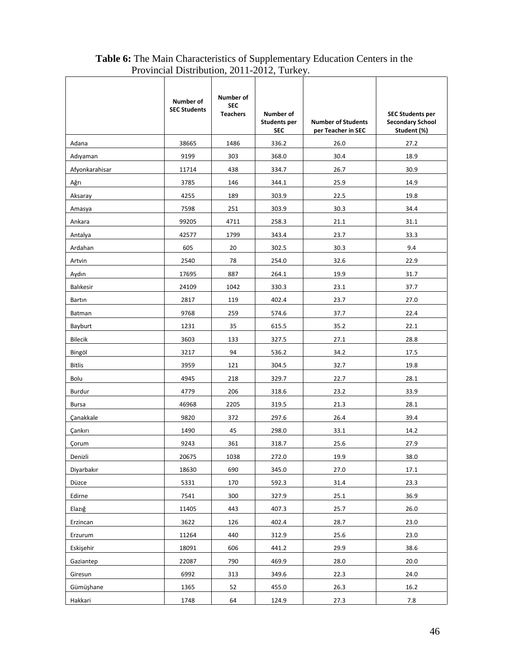|                | Number of<br><b>SEC Students</b> | Number of<br><b>SEC</b><br><b>Teachers</b> | Number of<br><b>Students per</b><br><b>SEC</b> | <b>Number of Students</b><br>per Teacher in SEC | <b>SEC Students per</b><br><b>Secondary School</b><br>Student (%) |
|----------------|----------------------------------|--------------------------------------------|------------------------------------------------|-------------------------------------------------|-------------------------------------------------------------------|
| Adana          | 38665                            | 1486                                       | 336.2                                          | 26.0                                            | 27.2                                                              |
| Adıyaman       | 9199                             | 303                                        | 368.0                                          | 30.4                                            | 18.9                                                              |
| Afyonkarahisar | 11714                            | 438                                        | 334.7                                          | 26.7                                            | 30.9                                                              |
| Ağrı           | 3785                             | 146                                        | 344.1                                          | 25.9                                            | 14.9                                                              |
| Aksaray        | 4255                             | 189                                        | 303.9                                          | 22.5                                            | 19.8                                                              |
| Amasya         | 7598                             | 251                                        | 303.9                                          | 30.3                                            | 34.4                                                              |
| Ankara         | 99205                            | 4711                                       | 258.3                                          | 21.1                                            | 31.1                                                              |
| Antalya        | 42577                            | 1799                                       | 343.4                                          | 23.7                                            | 33.3                                                              |
| Ardahan        | 605                              | 20                                         | 302.5                                          | 30.3                                            | 9.4                                                               |
| Artvin         | 2540                             | 78                                         | 254.0                                          | 32.6                                            | 22.9                                                              |
| Aydın          | 17695                            | 887                                        | 264.1                                          | 19.9                                            | 31.7                                                              |
| Balıkesir      | 24109                            | 1042                                       | 330.3                                          | 23.1                                            | 37.7                                                              |
| Bartin         | 2817                             | 119                                        | 402.4                                          | 23.7                                            | 27.0                                                              |
| Batman         | 9768                             | 259                                        | 574.6                                          | 37.7                                            | 22.4                                                              |
| Bayburt        | 1231                             | 35                                         | 615.5                                          | 35.2                                            | 22.1                                                              |
| <b>Bilecik</b> | 3603                             | 133                                        | 327.5                                          | 27.1                                            | 28.8                                                              |
| Bingöl         | 3217                             | 94                                         | 536.2                                          | 34.2                                            | 17.5                                                              |
| <b>Bitlis</b>  | 3959                             | 121                                        | 304.5                                          | 32.7                                            | 19.8                                                              |
| Bolu           | 4945                             | 218                                        | 329.7                                          | 22.7                                            | 28.1                                                              |
| Burdur         | 4779                             | 206                                        | 318.6                                          | 23.2                                            | 33.9                                                              |
| <b>Bursa</b>   | 46968                            | 2205                                       | 319.5                                          | 21.3                                            | 28.1                                                              |
| Canakkale      | 9820                             | 372                                        | 297.6                                          | 26.4                                            | 39.4                                                              |
| Çankırı        | 1490                             | 45                                         | 298.0                                          | 33.1                                            | 14.2                                                              |
| Corum          | 9243                             | 361                                        | 318.7                                          | 25.6                                            | 27.9                                                              |
| Denizli        | 20675                            | 1038                                       | 272.0                                          | 19.9                                            | 38.0                                                              |
| Diyarbakır     | 18630                            | 690                                        | 345.0                                          | 27.0                                            | 17.1                                                              |
| Düzce          | 5331                             | 170                                        | 592.3                                          | 31.4                                            | 23.3                                                              |
| Edirne         | 7541                             | 300                                        | 327.9                                          | 25.1                                            | 36.9                                                              |
| Elazığ         | 11405                            | 443                                        | 407.3                                          | 25.7                                            | 26.0                                                              |
| Erzincan       | 3622                             | 126                                        | 402.4                                          | 28.7                                            | 23.0                                                              |
| Erzurum        | 11264                            | 440                                        | 312.9                                          | 25.6                                            | 23.0                                                              |
| Eskişehir      | 18091                            | 606                                        | 441.2                                          | 29.9                                            | 38.6                                                              |
| Gaziantep      | 22087                            | 790                                        | 469.9                                          | 28.0                                            | 20.0                                                              |
| Giresun        | 6992                             | 313                                        | 349.6                                          | 22.3                                            | 24.0                                                              |
| Gümüşhane      | 1365                             | 52                                         | 455.0                                          | 26.3                                            | 16.2                                                              |
| Hakkari        | 1748                             | 64                                         | 124.9                                          | 27.3                                            | 7.8                                                               |

## **Table 6:** The Main Characteristics of Supplementary Education Centers in the Provincial Distribution, 2011-2012, Turkey.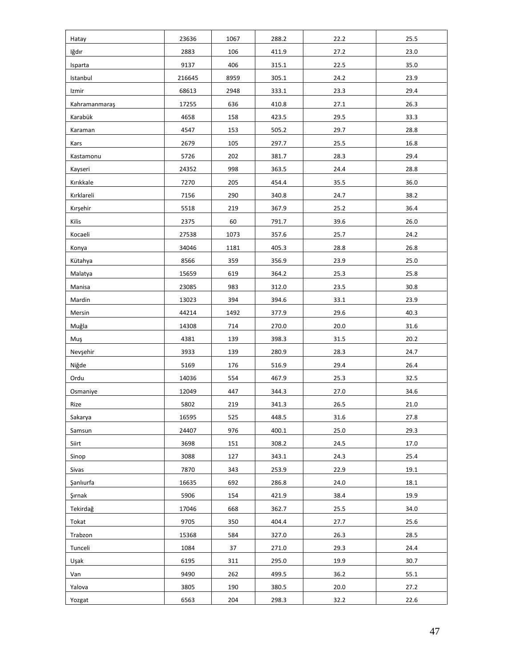| Hatay         | 23636  | 1067 | 288.2 | 22.2 | 25.5 |
|---------------|--------|------|-------|------|------|
| Iğdır         | 2883   | 106  | 411.9 | 27.2 | 23.0 |
| Isparta       | 9137   | 406  | 315.1 | 22.5 | 35.0 |
| Istanbul      | 216645 | 8959 | 305.1 | 24.2 | 23.9 |
| Izmir         | 68613  | 2948 | 333.1 | 23.3 | 29.4 |
| Kahramanmaraş | 17255  | 636  | 410.8 | 27.1 | 26.3 |
| Karabük       | 4658   | 158  | 423.5 | 29.5 | 33.3 |
| Karaman       | 4547   | 153  | 505.2 | 29.7 | 28.8 |
| Kars          | 2679   | 105  | 297.7 | 25.5 | 16.8 |
| Kastamonu     | 5726   | 202  | 381.7 | 28.3 | 29.4 |
| Kayseri       | 24352  | 998  | 363.5 | 24.4 | 28.8 |
| Kırıkkale     | 7270   | 205  | 454.4 | 35.5 | 36.0 |
| Kırklareli    | 7156   | 290  | 340.8 | 24.7 | 38.2 |
| Kırşehir      | 5518   | 219  | 367.9 | 25.2 | 36.4 |
| Kilis         | 2375   | 60   | 791.7 | 39.6 | 26.0 |
| Kocaeli       | 27538  | 1073 | 357.6 | 25.7 | 24.2 |
| Konya         | 34046  | 1181 | 405.3 | 28.8 | 26.8 |
| Kütahya       | 8566   | 359  | 356.9 | 23.9 | 25.0 |
| Malatya       | 15659  | 619  | 364.2 | 25.3 | 25.8 |
| Manisa        | 23085  | 983  | 312.0 | 23.5 | 30.8 |
| Mardin        | 13023  | 394  | 394.6 | 33.1 | 23.9 |
| Mersin        | 44214  | 1492 | 377.9 | 29.6 | 40.3 |
| Muğla         | 14308  | 714  | 270.0 | 20.0 | 31.6 |
| Muş           | 4381   | 139  | 398.3 | 31.5 | 20.2 |
| Nevşehir      | 3933   | 139  | 280.9 | 28.3 | 24.7 |
| Niğde         | 5169   | 176  | 516.9 | 29.4 | 26.4 |
| Ordu          | 14036  | 554  | 467.9 | 25.3 | 32.5 |
| Osmaniye      | 12049  | 447  | 344.3 | 27.0 | 34.6 |
| Rize          | 5802   | 219  | 341.3 | 26.5 | 21.0 |
| Sakarya       | 16595  | 525  | 448.5 | 31.6 | 27.8 |
| Samsun        | 24407  | 976  | 400.1 | 25.0 | 29.3 |
| Siirt         | 3698   | 151  | 308.2 | 24.5 | 17.0 |
| Sinop         | 3088   | 127  | 343.1 | 24.3 | 25.4 |
| Sivas         | 7870   | 343  | 253.9 | 22.9 | 19.1 |
| Şanlıurfa     | 16635  | 692  | 286.8 | 24.0 | 18.1 |
| Şırnak        | 5906   | 154  | 421.9 | 38.4 | 19.9 |
| Tekirdağ      | 17046  | 668  | 362.7 | 25.5 | 34.0 |
| Tokat         | 9705   | 350  | 404.4 | 27.7 | 25.6 |
| Trabzon       | 15368  | 584  | 327.0 | 26.3 | 28.5 |
| Tunceli       | 1084   | 37   | 271.0 | 29.3 | 24.4 |
| Uşak          | 6195   | 311  | 295.0 | 19.9 | 30.7 |
| Van           | 9490   | 262  | 499.5 | 36.2 | 55.1 |
| Yalova        | 3805   | 190  | 380.5 | 20.0 | 27.2 |
| Yozgat        | 6563   | 204  | 298.3 | 32.2 | 22.6 |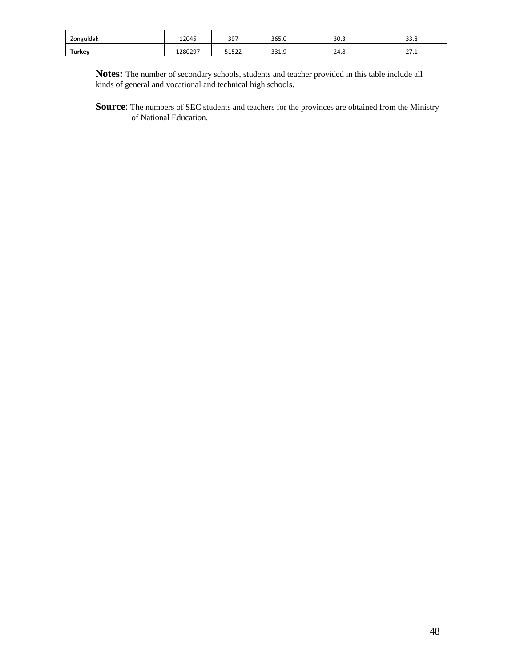| Zonguldak | 12045   | 397   | 365.0                 | 30.3 | າາ ດ<br>33.O                     |
|-----------|---------|-------|-----------------------|------|----------------------------------|
| Turkey    | 1280297 | 51522 | <b>221 Q</b><br>331.9 | 24.8 | $\overline{ }$<br><u>_ , , ,</u> |

**Notes:** The number of secondary schools, students and teacher provided in this table include all kinds of general and vocational and technical high schools.

**Source**: The numbers of SEC students and teachers for the provinces are obtained from the Ministry of National Education.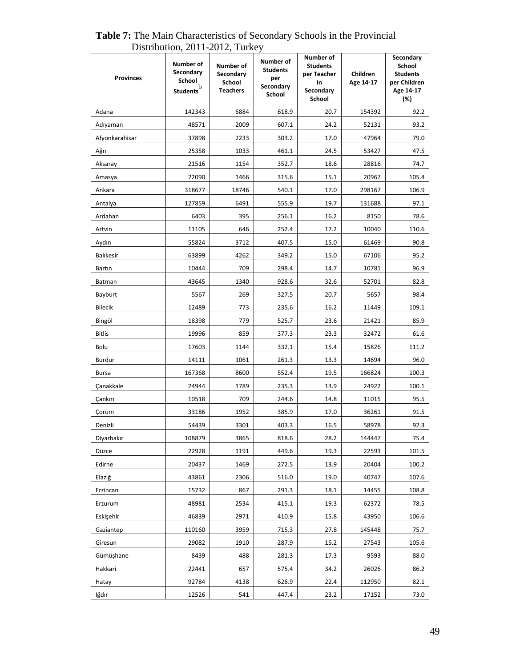| <b>Provinces</b> | Number of<br>Secondary<br>School<br>b<br>Students | Number of<br>Secondary<br>School<br><b>Teachers</b> | Number of<br><b>Students</b><br>per<br>Secondary<br>School | Number of<br><b>Students</b><br>per Teacher<br>in<br>Secondary<br>School | Children<br>Age 14-17 | Secondary<br>School<br><b>Students</b><br>per Children<br>Age 14-17<br>(%) |
|------------------|---------------------------------------------------|-----------------------------------------------------|------------------------------------------------------------|--------------------------------------------------------------------------|-----------------------|----------------------------------------------------------------------------|
| Adana            | 142343                                            | 6884                                                | 618.9                                                      | 20.7                                                                     | 154392                | 92.2                                                                       |
| Adıyaman         | 48571                                             | 2009                                                | 607.1                                                      | 24.2                                                                     | 52131                 | 93.2                                                                       |
| Afyonkarahisar   | 37898                                             | 2233                                                | 303.2                                                      | 17.0                                                                     | 47964                 | 79.0                                                                       |
| Ağrı             | 25358                                             | 1033                                                | 461.1                                                      | 24.5                                                                     | 53427                 | 47.5                                                                       |
| Aksaray          | 21516                                             | 1154                                                | 352.7                                                      | 18.6                                                                     | 28816                 | 74.7                                                                       |
| Amasya           | 22090                                             | 1466                                                | 315.6                                                      | 15.1                                                                     | 20967                 | 105.4                                                                      |
| Ankara           | 318677                                            | 18746                                               | 540.1                                                      | 17.0                                                                     | 298167                | 106.9                                                                      |
| Antalya          | 127859                                            | 6491                                                | 555.9                                                      | 19.7                                                                     | 131688                | 97.1                                                                       |
| Ardahan          | 6403                                              | 395                                                 | 256.1                                                      | 16.2                                                                     | 8150                  | 78.6                                                                       |
| Artvin           | 11105                                             | 646                                                 | 252.4                                                      | 17.2                                                                     | 10040                 | 110.6                                                                      |
| Aydın            | 55824                                             | 3712                                                | 407.5                                                      | 15.0                                                                     | 61469                 | 90.8                                                                       |
| Balıkesir        | 63899                                             | 4262                                                | 349.2                                                      | 15.0                                                                     | 67106                 | 95.2                                                                       |
| Bartin           | 10444                                             | 709                                                 | 298.4                                                      | 14.7                                                                     | 10781                 | 96.9                                                                       |
| Batman           | 43645                                             | 1340                                                | 928.6                                                      | 32.6                                                                     | 52701                 | 82.8                                                                       |
| Bayburt          | 5567                                              | 269                                                 | 327.5                                                      | 20.7                                                                     | 5657                  | 98.4                                                                       |
| <b>Bilecik</b>   | 12489                                             | 773                                                 | 235.6                                                      | 16.2                                                                     | 11449                 | 109.1                                                                      |
| Bingöl           | 18398                                             | 779                                                 | 525.7                                                      | 23.6                                                                     | 21421                 | 85.9                                                                       |
| <b>Bitlis</b>    | 19996                                             | 859                                                 | 377.3                                                      | 23.3                                                                     | 32472                 | 61.6                                                                       |
| Bolu             | 17603                                             | 1144                                                | 332.1                                                      | 15.4                                                                     | 15826                 | 111.2                                                                      |
| Burdur           | 14111                                             | 1061                                                | 261.3                                                      | 13.3                                                                     | 14694                 | 96.0                                                                       |
| <b>Bursa</b>     | 167368                                            | 8600                                                | 552.4                                                      | 19.5                                                                     | 166824                | 100.3                                                                      |
| Canakkale        | 24944                                             | 1789                                                | 235.3                                                      | 13.9                                                                     | 24922                 | 100.1                                                                      |
| Çankırı          | 10518                                             | 709                                                 | 244.6                                                      | 14.8                                                                     | 11015                 | 95.5                                                                       |
| Çorum            | 33186                                             | 1952                                                | 385.9                                                      | 17.0                                                                     | 36261                 | 91.5                                                                       |
| Denizli          | 54439                                             | 3301                                                | 403.3                                                      | 16.5                                                                     | 58978                 | 92.3                                                                       |
| Diyarbakır       | 108879                                            | 3865                                                | 818.6                                                      | 28.2                                                                     | 144447                | 75.4                                                                       |
| Düzce            | 22928                                             | 1191                                                | 449.6                                                      | 19.3                                                                     | 22593                 | 101.5                                                                      |
| Edirne           | 20437                                             | 1469                                                | 272.5                                                      | 13.9                                                                     | 20404                 | 100.2                                                                      |
| Elazığ           | 43861                                             | 2306                                                | 516.0                                                      | 19.0                                                                     | 40747                 | 107.6                                                                      |
| Erzincan         | 15732                                             | 867                                                 | 291.3                                                      | 18.1                                                                     | 14455                 | 108.8                                                                      |
| Erzurum          | 48981                                             | 2534                                                | 415.1                                                      | 19.3                                                                     | 62372                 | 78.5                                                                       |
| Eskişehir        | 46839                                             | 2971                                                | 410.9                                                      | 15.8                                                                     | 43950                 | 106.6                                                                      |
| Gaziantep        | 110160                                            | 3959                                                | 715.3                                                      | 27.8                                                                     | 145448                | 75.7                                                                       |
| Giresun          | 29082                                             | 1910                                                | 287.9                                                      | 15.2                                                                     | 27543                 | 105.6                                                                      |
| Gümüşhane        | 8439                                              | 488                                                 | 281.3                                                      | 17.3                                                                     | 9593                  | 88.0                                                                       |
| Hakkari          | 22441                                             | 657                                                 | 575.4                                                      | 34.2                                                                     | 26026                 | 86.2                                                                       |
| Hatay            | 92784                                             | 4138                                                | 626.9                                                      | 22.4                                                                     | 112950                | 82.1                                                                       |
| lğdır            | 12526                                             | 541                                                 | 447.4                                                      | 23.2                                                                     | 17152                 | 73.0                                                                       |

**Table 7:** The Main Characteristics of Secondary Schools in the Provincial Distribution, 2011-2012, Turkey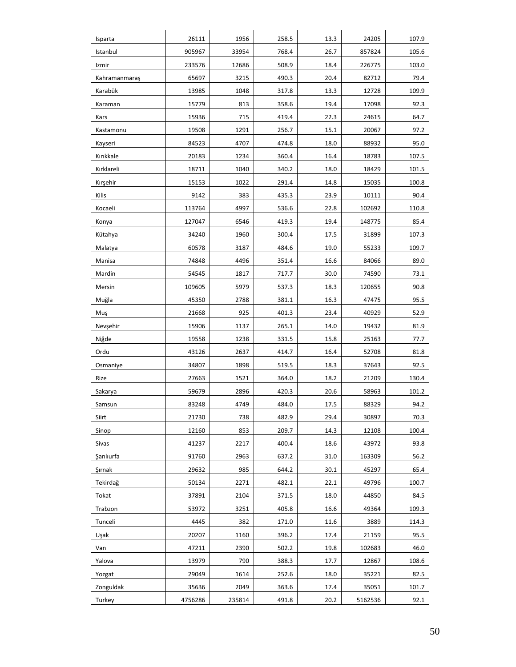| Isparta                  | 26111<br>905967 | 1956<br>33954 | 258.5          | 13.3         | 24205           | 107.9         |
|--------------------------|-----------------|---------------|----------------|--------------|-----------------|---------------|
| Istanbul                 |                 |               | 768.4          | 26.7         | 857824          | 105.6         |
| Izmir                    | 233576<br>65697 | 12686<br>3215 | 508.9<br>490.3 | 18.4<br>20.4 | 226775<br>82712 | 103.0<br>79.4 |
| Kahramanmaraş<br>Karabük | 13985           | 1048          | 317.8          | 13.3         | 12728           | 109.9         |
|                          | 15779           | 813           | 358.6          | 19.4         | 17098           | 92.3          |
| Karaman                  | 15936           |               | 419.4          |              | 24615           | 64.7          |
| Kars<br>Kastamonu        | 19508           | 715<br>1291   | 256.7          | 22.3<br>15.1 | 20067           | 97.2          |
|                          |                 | 4707          | 474.8          |              |                 |               |
| Kayseri<br>Kırıkkale     | 84523           | 1234          | 360.4          | 18.0<br>16.4 | 88932<br>18783  | 95.0<br>107.5 |
| Kırklareli               | 20183<br>18711  | 1040          | 340.2          | 18.0         | 18429           | 101.5         |
| Kırşehir                 | 15153           | 1022          | 291.4          |              | 15035           | 100.8         |
| Kilis                    | 9142            | 383           | 435.3          | 14.8<br>23.9 | 10111           | 90.4          |
| Kocaeli                  | 113764          | 4997          | 536.6          | 22.8         | 102692          | 110.8         |
| Konya                    | 127047          | 6546          | 419.3          | 19.4         | 148775          | 85.4          |
| Kütahya                  | 34240           | 1960          | 300.4          | 17.5         | 31899           | 107.3         |
| Malatya                  | 60578           | 3187          | 484.6          | 19.0         | 55233           | 109.7         |
| Manisa                   | 74848           | 4496          | 351.4          | 16.6         | 84066           | 89.0          |
| Mardin                   | 54545           | 1817          | 717.7          | 30.0         | 74590           | 73.1          |
| Mersin                   | 109605          | 5979          | 537.3          | 18.3         | 120655          | 90.8          |
| Muğla                    | 45350           | 2788          | 381.1          | 16.3         | 47475           | 95.5          |
| Muş                      | 21668           | 925           | 401.3          | 23.4         | 40929           | 52.9          |
| Nevşehir                 | 15906           | 1137          | 265.1          | 14.0         | 19432           | 81.9          |
| Niğde                    | 19558           | 1238          | 331.5          | 15.8         | 25163           | 77.7          |
| Ordu                     | 43126           | 2637          | 414.7          | 16.4         | 52708           | 81.8          |
| Osmaniye                 | 34807           | 1898          | 519.5          | 18.3         | 37643           | 92.5          |
| Rize                     | 27663           | 1521          | 364.0          | 18.2         | 21209           | 130.4         |
| Sakarya                  | 59679           | 2896          | 420.3          | 20.6         | 58963           | 101.2         |
| Samsun                   | 83248           | 4749          | 484.0          | 17.5         | 88329           | 94.2          |
| Siirt                    | 21730           | 738           | 482.9          | 29.4         | 30897           | 70.3          |
| Sinop                    | 12160           | 853           | 209.7          | 14.3         | 12108           | 100.4         |
| Sivas                    | 41237           | 2217          | 400.4          | 18.6         | 43972           | 93.8          |
| Sanlıurfa                | 91760           | 2963          | 637.2          | 31.0         | 163309          | 56.2          |
| Şırnak                   | 29632           | 985           | 644.2          | 30.1         | 45297           | 65.4          |
| Tekirdağ                 | 50134           | 2271          | 482.1          | 22.1         | 49796           | 100.7         |
| Tokat                    | 37891           | 2104          | 371.5          | 18.0         | 44850           | 84.5          |
| Trabzon                  | 53972           | 3251          | 405.8          | 16.6         | 49364           | 109.3         |
| Tunceli                  | 4445            | 382           | 171.0          | 11.6         | 3889            | 114.3         |
| Uşak                     | 20207           | 1160          | 396.2          | 17.4         | 21159           | 95.5          |
| Van                      | 47211           | 2390          | 502.2          | 19.8         | 102683          | 46.0          |
| Yalova                   | 13979           | 790           | 388.3          | 17.7         | 12867           | 108.6         |
| Yozgat                   | 29049           | 1614          | 252.6          | 18.0         | 35221           | 82.5          |
| Zonguldak                | 35636           | 2049          | 363.6          | 17.4         | 35051           | 101.7         |
| Turkey                   | 4756286         | 235814        | 491.8          | 20.2         | 5162536         | 92.1          |
|                          |                 |               |                |              |                 |               |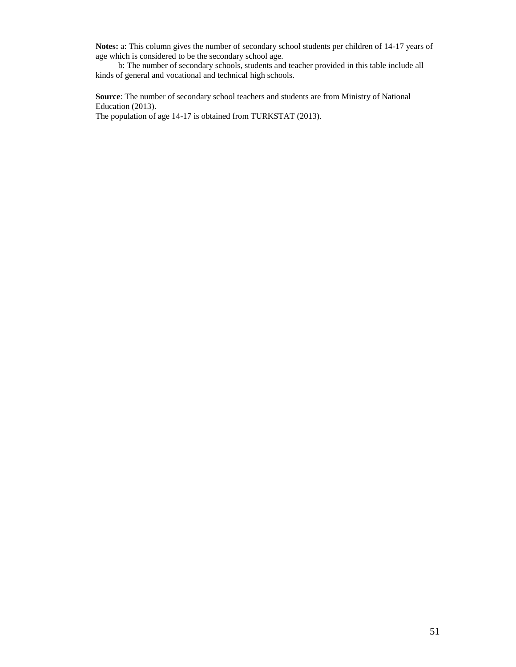**Notes:** a: This column gives the number of secondary school students per children of 14-17 years of age which is considered to be the secondary school age.

b: The number of secondary schools, students and teacher provided in this table include all kinds of general and vocational and technical high schools.

**Source**: The number of secondary school teachers and students are from Ministry of National Education (2013).

The population of age 14-17 is obtained from TURKSTAT (2013).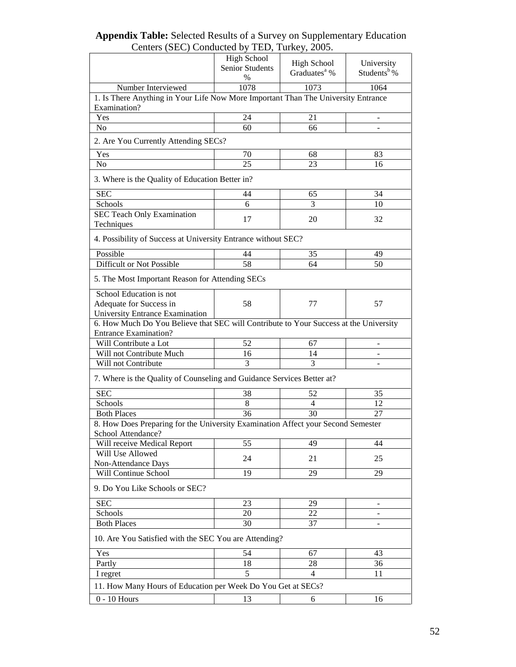| $\sum$ chich $\sum$ (DDC) conducted $\sum$ in $\sum$ , i unic), 2000.                                  |                                               |                                                |                                       |  |  |  |  |  |  |
|--------------------------------------------------------------------------------------------------------|-----------------------------------------------|------------------------------------------------|---------------------------------------|--|--|--|--|--|--|
|                                                                                                        | <b>High School</b><br>Senior Students<br>$\%$ | <b>High School</b><br>Graduates <sup>a</sup> % | University<br>Students <sup>b</sup> % |  |  |  |  |  |  |
| Number Interviewed                                                                                     | 1078                                          | 1073                                           | 1064                                  |  |  |  |  |  |  |
| 1. Is There Anything in Your Life Now More Important Than The University Entrance                      |                                               |                                                |                                       |  |  |  |  |  |  |
| Examination?                                                                                           |                                               |                                                |                                       |  |  |  |  |  |  |
| Yes                                                                                                    | 24                                            | 21                                             |                                       |  |  |  |  |  |  |
| N <sub>o</sub>                                                                                         | 60                                            | 66                                             |                                       |  |  |  |  |  |  |
| 2. Are You Currently Attending SECs?                                                                   |                                               |                                                |                                       |  |  |  |  |  |  |
| Yes                                                                                                    | 70                                            | 68                                             | 83                                    |  |  |  |  |  |  |
| N <sub>o</sub>                                                                                         | 25                                            | 23                                             | 16                                    |  |  |  |  |  |  |
| 3. Where is the Quality of Education Better in?                                                        |                                               |                                                |                                       |  |  |  |  |  |  |
| <b>SEC</b>                                                                                             | 44                                            | 65                                             | 34                                    |  |  |  |  |  |  |
| Schools                                                                                                | 6                                             | 3                                              | 10                                    |  |  |  |  |  |  |
| SEC Teach Only Examination<br>Techniques                                                               | 17                                            | 20                                             | 32                                    |  |  |  |  |  |  |
|                                                                                                        |                                               |                                                |                                       |  |  |  |  |  |  |
| 4. Possibility of Success at University Entrance without SEC?                                          |                                               |                                                |                                       |  |  |  |  |  |  |
| Possible                                                                                               | 44                                            | 35                                             | 49                                    |  |  |  |  |  |  |
| <b>Difficult or Not Possible</b>                                                                       | 58                                            | 64                                             | 50                                    |  |  |  |  |  |  |
| 5. The Most Important Reason for Attending SECs                                                        |                                               |                                                |                                       |  |  |  |  |  |  |
| School Education is not                                                                                |                                               |                                                |                                       |  |  |  |  |  |  |
| Adequate for Success in                                                                                | 58                                            | 77                                             | 57                                    |  |  |  |  |  |  |
| <b>University Entrance Examination</b>                                                                 |                                               |                                                |                                       |  |  |  |  |  |  |
| 6. How Much Do You Believe that SEC will Contribute to Your Success at the University                  |                                               |                                                |                                       |  |  |  |  |  |  |
| <b>Entrance Examination?</b>                                                                           |                                               |                                                |                                       |  |  |  |  |  |  |
| Will Contribute a Lot                                                                                  | 52                                            | 67                                             |                                       |  |  |  |  |  |  |
| Will not Contribute Much                                                                               | 16                                            | 14                                             |                                       |  |  |  |  |  |  |
| Will not Contribute                                                                                    | 3                                             | 3                                              |                                       |  |  |  |  |  |  |
| 7. Where is the Quality of Counseling and Guidance Services Better at?                                 |                                               |                                                |                                       |  |  |  |  |  |  |
| <b>SEC</b>                                                                                             | 38                                            | 52                                             | 35                                    |  |  |  |  |  |  |
| Schools                                                                                                | 8                                             | 4                                              | 12                                    |  |  |  |  |  |  |
| <b>Both Places</b>                                                                                     | 36                                            | 30                                             | 27                                    |  |  |  |  |  |  |
| 8. How Does Preparing for the University Examination Affect your Second Semester<br>School Attendance? |                                               |                                                |                                       |  |  |  |  |  |  |
| Will receive Medical Report                                                                            | 55                                            | 49                                             | 44                                    |  |  |  |  |  |  |
| Will Use Allowed                                                                                       |                                               |                                                |                                       |  |  |  |  |  |  |
| Non-Attendance Days                                                                                    | 24                                            | 21                                             | 25                                    |  |  |  |  |  |  |
| Will Continue School                                                                                   | 19                                            | 29                                             | 29                                    |  |  |  |  |  |  |
| 9. Do You Like Schools or SEC?                                                                         |                                               |                                                |                                       |  |  |  |  |  |  |
| <b>SEC</b>                                                                                             | 23                                            | 29                                             |                                       |  |  |  |  |  |  |
| Schools                                                                                                | 20                                            | 22                                             |                                       |  |  |  |  |  |  |
| <b>Both Places</b>                                                                                     | 30                                            | 37                                             |                                       |  |  |  |  |  |  |
| 10. Are You Satisfied with the SEC You are Attending?                                                  |                                               |                                                |                                       |  |  |  |  |  |  |
| Yes                                                                                                    | 54                                            | 67                                             | 43                                    |  |  |  |  |  |  |
| Partly                                                                                                 | 18                                            | 28                                             | 36                                    |  |  |  |  |  |  |
| I regret                                                                                               | 5                                             | 4                                              | 11                                    |  |  |  |  |  |  |
| 11. How Many Hours of Education per Week Do You Get at SECs?                                           |                                               |                                                |                                       |  |  |  |  |  |  |
|                                                                                                        |                                               |                                                |                                       |  |  |  |  |  |  |
| $0 - 10$ Hours                                                                                         | 13                                            | 6                                              | 16                                    |  |  |  |  |  |  |

## **Appendix Table:** Selected Results of a Survey on Supplementary Education Centers (SEC) Conducted by TED, Turkey, 2005.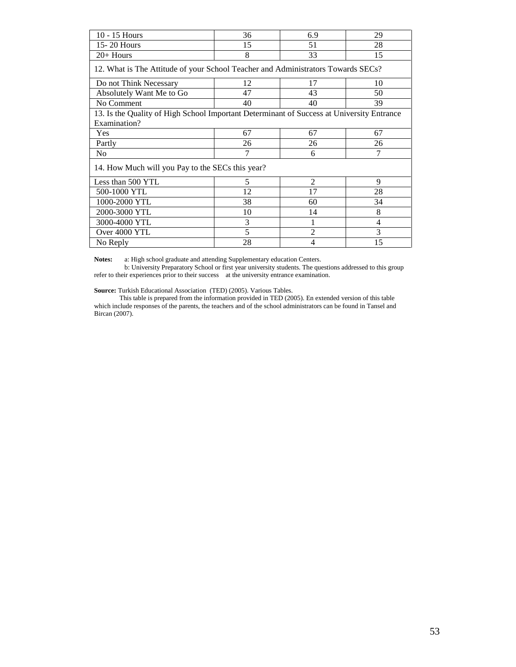| $10 - 15$ Hours                                                                                           | 36 | 6.9            | 29 |  |  |  |  |  |
|-----------------------------------------------------------------------------------------------------------|----|----------------|----|--|--|--|--|--|
| 15 - 20 Hours                                                                                             | 15 | 51             | 28 |  |  |  |  |  |
| $20+$ Hours                                                                                               | 8  | 33             | 15 |  |  |  |  |  |
| 12. What is The Attitude of your School Teacher and Administrators Towards SECs?                          |    |                |    |  |  |  |  |  |
| Do not Think Necessary                                                                                    | 12 | 17             | 10 |  |  |  |  |  |
| Absolutely Want Me to Go                                                                                  | 47 | 43             | 50 |  |  |  |  |  |
| No Comment                                                                                                | 40 | 40             | 39 |  |  |  |  |  |
| 13. Is the Quality of High School Important Determinant of Success at University Entrance<br>Examination? |    |                |    |  |  |  |  |  |
| <b>Yes</b>                                                                                                | 67 | 67             | 67 |  |  |  |  |  |
| Partly                                                                                                    | 26 | 26             | 26 |  |  |  |  |  |
| No.                                                                                                       | 7  | 6              | 7  |  |  |  |  |  |
| 14. How Much will you Pay to the SECs this year?                                                          |    |                |    |  |  |  |  |  |
| Less than 500 YTL                                                                                         | 5  | 2              | 9  |  |  |  |  |  |
| 500-1000 YTL                                                                                              | 12 | 17             | 28 |  |  |  |  |  |
| 1000-2000 YTL                                                                                             | 38 | 60             | 34 |  |  |  |  |  |
| 2000-3000 YTL                                                                                             | 10 | 14             | 8  |  |  |  |  |  |
| 3000-4000 YTL                                                                                             | 3  |                | 4  |  |  |  |  |  |
| Over 4000 YTL                                                                                             | 5  | $\overline{c}$ | 3  |  |  |  |  |  |
| No Reply                                                                                                  | 28 | 4              | 15 |  |  |  |  |  |

**Notes:** a: High school graduate and attending Supplementary education Centers.

b: University Preparatory School or first year university students. The questions addressed to this group refer to their experiences prior to their success at the university entrance examination.

**Source:** Turkish Educational Association (TED) (2005). Various Tables.

 This table is prepared from the information provided in TED (2005). En extended version of this table which include responses of the parents, the teachers and of the school administrators can be found in Tansel and Bircan (2007).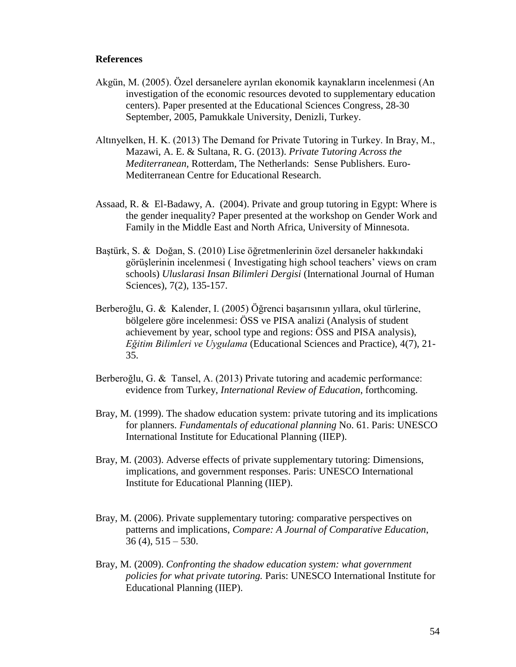#### **References**

- Akgün, M. (2005). Özel dersanelere ayrılan ekonomik kaynakların incelenmesi (An investigation of the economic resources devoted to supplementary education centers). Paper presented at the Educational Sciences Congress, 28-30 September, 2005, Pamukkale University, Denizli, Turkey.
- Altınyelken, H. K. (2013) The Demand for Private Tutoring in Turkey. In Bray, M., Mazawi, A. E. & Sultana, R. G. (2013). *Private Tutoring Across the Mediterranean,* Rotterdam, The Netherlands: Sense Publishers. Euro-Mediterranean Centre for Educational Research.
- Assaad, R. & El-Badawy, A. (2004). Private and group tutoring in Egypt: Where is the gender inequality? Paper presented at the workshop on Gender Work and Family in the Middle East and North Africa, University of Minnesota.
- Baştürk, S. & Doğan, S. (2010) Lise öğretmenlerinin özel dersaneler hakkındaki görüşlerinin incelenmesi ( Investigating high school teachers' views on cram schools) *Uluslarasi Insan Bilimleri Dergisi* (International Journal of Human Sciences), 7(2), 135-157.
- Berberoğlu, G. & Kalender, I. (2005) Öğrenci başarısının yıllara, okul türlerine, bölgelere göre incelenmesi: ÖSS ve PISA analizi (Analysis of student achievement by year, school type and regions: ÖSS and PISA analysis), *Eğitim Bilimleri ve Uygulama* (Educational Sciences and Practice), 4(7), 21- 35.
- Berberoğlu, G. & Tansel, A. (2013) Private tutoring and academic performance: evidence from Turkey, *International Review of Education*, forthcoming.
- Bray, M. (1999). The shadow education system: private tutoring and its implications for planners. *Fundamentals of educational planning* No. 61. Paris: UNESCO International Institute for Educational Planning (IIEP).
- Bray, M. (2003). Adverse effects of private supplementary tutoring: Dimensions, implications, and government responses. Paris: UNESCO International Institute for Educational Planning (IIEP).
- Bray, M. (2006). Private supplementary tutoring: comparative perspectives on patterns and implications, *Compare: A Journal of Comparative Education*,  $36(4)$ ,  $515 - 530$ .
- Bray, M. (2009). *Confronting the shadow education system: what government policies for what private tutoring.* Paris: UNESCO International Institute for Educational Planning (IIEP).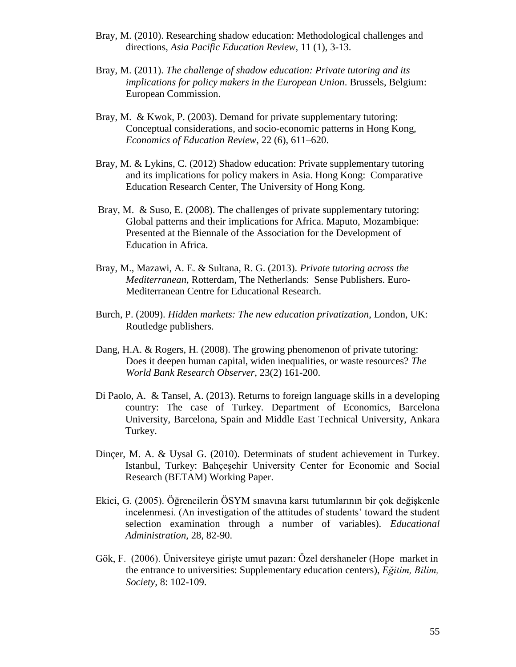- Bray, M. (2010). Researching shadow education: Methodological challenges and directions, *Asia Pacific Education Review*, 11 (1), 3-13.
- Bray, M. (2011). *The challenge of shadow education: Private tutoring and its implications for policy makers in the European Union*. Brussels, Belgium: European Commission.
- Bray, M. & Kwok, P. (2003). Demand for private supplementary tutoring: Conceptual considerations, and socio-economic patterns in Hong Kong, *Economics of Education Review*, 22 (6), 611–620.
- Bray, M. & Lykins, C. (2012) Shadow education: Private supplementary tutoring and its implications for policy makers in Asia. Hong Kong: Comparative Education Research Center, The University of Hong Kong.
- Bray, M. & Suso, E. (2008). The challenges of private supplementary tutoring: Global patterns and their implications for Africa. Maputo, Mozambique: Presented at the Biennale of the Association for the Development of Education in Africa.
- Bray, M., Mazawi, A. E. & Sultana, R. G. (2013). *Private tutoring across the Mediterranean,* Rotterdam, The Netherlands: Sense Publishers. Euro-Mediterranean Centre for Educational Research.
- Burch, P. (2009). *Hidden markets: The new education privatization*, London, UK: Routledge publishers.
- Dang, H.A. & Rogers, H. (2008). The growing phenomenon of private tutoring: Does it deepen human capital, widen inequalities, or waste resources? *The World Bank Research Observer,* 23(2) 161-200.
- Di Paolo, A. & Tansel, A. (2013). Returns to foreign language skills in a developing country: The case of Turkey. Department of Economics, Barcelona University, Barcelona, Spain and Middle East Technical University, Ankara Turkey.
- Dinçer, M. A. & Uysal G. (2010). Determinats of student achievement in Turkey. Istanbul, Turkey: Bahçeşehir University Center for Economic and Social Research (BETAM) Working Paper.
- Ekici, G. (2005). Öğrencilerin ÖSYM sınavına karsı tutumlarının bir çok değişkenle incelenmesi. (An investigation of the attitudes of students' toward the student selection examination through a number of variables). *Educational Administration,* 28, 82-90.
- Gök, F. (2006). Üniversiteye girişte umut pazarı: Özel dershaneler (Hope market in the entrance to universities: Supplementary education centers), *Eğitim, Bilim, Society,* 8: 102-109.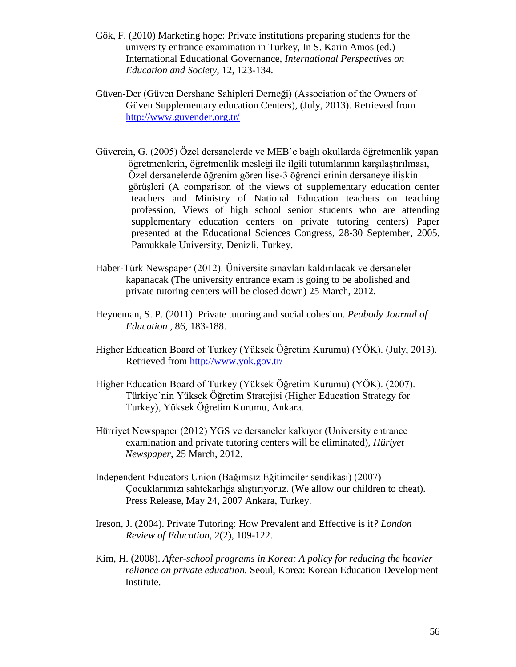- Gök, F. (2010) Marketing hope: Private institutions preparing students for the university entrance examination in Turkey, In S. Karin Amos (ed.) International Educational Governance*, International Perspectives on Education and Society,* 12, 123-134.
- Güven-Der (Güven Dershane Sahipleri Derneği) (Association of the Owners of Güven Supplementary education Centers), (July, 2013). Retrieved from <http://www.guvender.org.tr/>
- Güvercin, G. (2005) Özel dersanelerde ve MEB'e bağlı okullarda öğretmenlik yapan öğretmenlerin, öğretmenlik mesleği ile ilgili tutumlarının karşılaştırılması, Özel dersanelerde öğrenim gören lise-3 öğrencilerinin dersaneye ilişkin görüşleri (A comparison of the views of supplementary education center teachers and Ministry of National Education teachers on teaching profession, Views of high school senior students who are attending supplementary education centers on private tutoring centers) Paper presented at the Educational Sciences Congress, 28-30 September, 2005, Pamukkale University, Denizli, Turkey.
- Haber-Türk Newspaper (2012). Üniversite sınavları kaldırılacak ve dersaneler kapanacak (The university entrance exam is going to be abolished and private tutoring centers will be closed down) 25 March, 2012.
- Heyneman, S. P. (2011). Private tutoring and social cohesion. *Peabody Journal of Education* , 86, 183-188.
- Higher Education Board of Turkey (Yüksek Öğretim Kurumu) (YÖK). (July, 2013). Retrieved from<http://www.yok.gov.tr/>
- Higher Education Board of Turkey (Yüksek Öğretim Kurumu) (YÖK). (2007). Türkiye'nin Yüksek Öğretim Stratejisi (Higher Education Strategy for Turkey), Yüksek Öğretim Kurumu, Ankara.
- Hürriyet Newspaper (2012) YGS ve dersaneler kalkıyor (University entrance examination and private tutoring centers will be eliminated), *Hüriyet Newspaper*, 25 March, 2012.
- Independent Educators Union (Bağımsız Eğitimciler sendikası) (2007) Çocuklarımızı sahtekarlığa alıştırıyoruz. (We allow our children to cheat). Press Release, May 24, 2007 Ankara, Turkey.
- Ireson, J. (2004). Private Tutoring: How Prevalent and Effective is it*? London Review of Education,* 2(2), 109-122.
- Kim, H. (2008). *After-school programs in Korea: A policy for reducing the heavier reliance on private education.* Seoul, Korea: Korean Education Development Institute.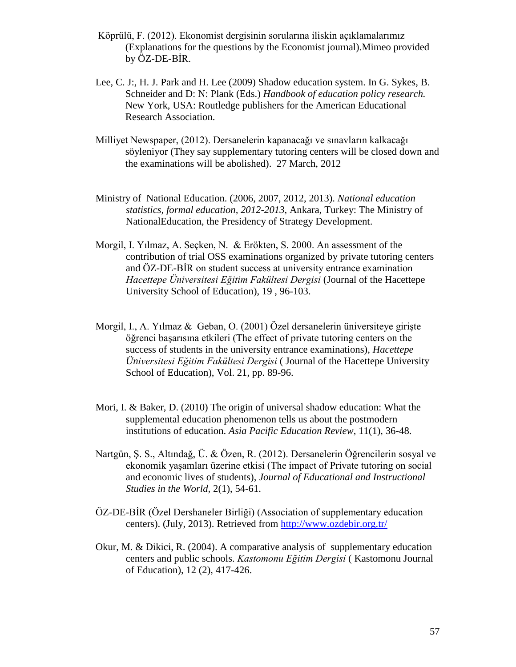- Köprülü, F. (2012). Ekonomist dergisinin sorularına iliskin açıklamalarımız (Explanations for the questions by the Economist journal).Mimeo provided by ÖZ-DE-BİR.
- Lee, C. J:, H. J. Park and H. Lee (2009) Shadow education system. In G. Sykes, B. Schneider and D: N: Plank (Eds.) *Handbook of education policy research.* New York, USA: Routledge publishers for the American Educational Research Association.
- Milliyet Newspaper, (2012). Dersanelerin kapanacağı ve sınavların kalkacağı söyleniyor (They say supplementary tutoring centers will be closed down and the examinations will be abolished). 27 March, 2012
- Ministry of National Education. (2006, 2007, 2012, 2013). *National education statistics, formal education, 2012-2013,* Ankara, Turkey: The Ministry of NationalEducation, the Presidency of Strategy Development.
- Morgil, I. Yılmaz, A. Seçken, N. & Erökten, S. 2000. An assessment of the contribution of trial OSS examinations organized by private tutoring centers and ÖZ-DE-BİR on student success at university entrance examination *Hacettepe Üniversitesi Eğitim Fakültesi Dergisi* (Journal of the Hacettepe University School of Education), 19 , 96-103.
- Morgil, I., A. Yılmaz & Geban, O. (2001) Özel dersanelerin üniversiteye girişte öğrenci başarısına etkileri (The effect of private tutoring centers on the success of students in the university entrance examinations), *Hacettepe Üniversitesi Eğitim Fakültesi Dergisi* ( Journal of the Hacettepe University School of Education), Vol. 21, pp. 89-96.
- Mori, I. & Baker, D. (2010) The origin of universal shadow education: What the supplemental education phenomenon tells us about the postmodern institutions of education. *Asia Pacific Education Review*, 11(1), 36-48.
- Nartgün, Ş. S., Altındağ, Ü. & Özen, R. (2012). Dersanelerin Öğrencilerin sosyal ve ekonomik yaşamları üzerine etkisi (The impact of Private tutoring on social and economic lives of students), *Journal of Educational and Instructional Studies in the World,* 2(1), 54-61.
- ÖZ-DE-BİR (Özel Dershaneler Birliği) (Association of supplementary education centers). (July, 2013). Retrieved from<http://www.ozdebir.org.tr/>
- Okur, M. & Dikici, R. (2004). A comparative analysis of supplementary education centers and public schools. *Kastomonu Eğitim Dergisi* ( Kastomonu Journal of Education), 12 (2), 417-426.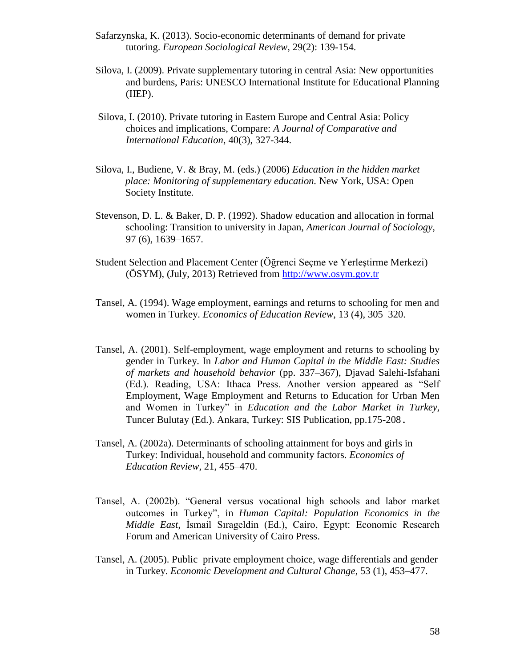- Safarzynska, K. (2013). Socio-economic determinants of demand for private tutoring. *European Sociological Review*, 29(2): 139-154.
- Silova, I. (2009). Private supplementary tutoring in central Asia: New opportunities and burdens, Paris: UNESCO International Institute for Educational Planning (IIEP).
- Silova, I. (2010). Private tutoring in Eastern Europe and Central Asia: Policy choices and implications, Compare: *A Journal of Comparative and International Education*, 40(3), 327-344.
- Silova, I., Budiene, V. & Bray, M. (eds.) (2006) *Education in the hidden market place: Monitoring of supplementary education.* New York, USA: Open Society Institute*.*
- Stevenson, D. L. & Baker, D. P. (1992). Shadow education and allocation in formal schooling: Transition to university in Japan, *American Journal of Sociology*, 97 (6), 1639–1657.
- Student Selection and Placement Center (Öğrenci Seçme ve Yerleştirme Merkezi) (ÖSYM), (July, 2013) Retrieved from [http://www.osym.gov.tr](http://www.osym.gov.tr/)
- Tansel, A. (1994). Wage employment, earnings and returns to schooling for men and women in Turkey. *Economics of Education Review*, 13 (4), 305–320.
- Tansel, A. (2001). Self-employment, wage employment and returns to schooling by gender in Turkey. In *Labor and Human Capital in the Middle East: Studies of markets and household behavior* (pp. 337–367), Djavad Salehi-Isfahani (Ed.). Reading, USA: Ithaca Press. Another version appeared as "Self Employment, Wage Employment and Returns to Education for Urban Men and Women in Turkey" in *Education and the Labor Market in Turkey,* Tuncer Bulutay (Ed.). Ankara, Turkey: SIS Publication, pp.175-208.
- Tansel, A. (2002a). Determinants of schooling attainment for boys and girls in Turkey: Individual, household and community factors. *Economics of Education Review*, 21, 455–470.
- Tansel, A. (2002b). "General versus vocational high schools and labor market outcomes in Turkey", in *Human Capital: Population Economics in the Middle East,* İsmail Sırageldin (Ed.), Cairo, Egypt: Economic Research Forum and American University of Cairo Press.
- Tansel, A. (2005). Public–private employment choice, wage differentials and gender in Turkey. *Economic Development and Cultural Change*, 53 (1), 453–477.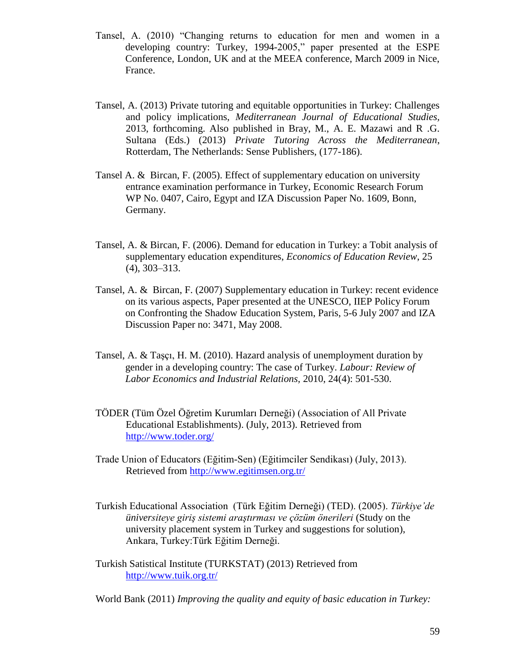- Tansel, A. (2010) "Changing returns to education for men and women in a developing country: Turkey, 1994-2005," paper presented at the ESPE Conference, London, UK and at the MEEA conference, March 2009 in Nice, France.
- Tansel, A. (2013) Private tutoring and equitable opportunities in Turkey: Challenges and policy implications, *Mediterranean Journal of Educational Studies,* 2013, forthcoming. Also published in Bray, M., A. E. Mazawi and R .G. Sultana (Eds.) (2013) *Private Tutoring Across the Mediterranean*, Rotterdam, The Netherlands: Sense Publishers, (177-186).
- Tansel A. & Bircan, F. (2005). Effect of supplementary education on university entrance examination performance in Turkey, Economic Research Forum WP No. 0407, Cairo, Egypt and IZA Discussion Paper No. 1609, Bonn, Germany.
- Tansel, A. & Bircan, F. (2006). Demand for education in Turkey: a Tobit analysis of supplementary education expenditures, *Economics of Education Review*, 25 (4), 303–313.
- Tansel, A. & Bircan, F. (2007) Supplementary education in Turkey: recent evidence on its various aspects, Paper presented at the UNESCO, IIEP Policy Forum on Confronting the Shadow Education System, Paris, 5-6 July 2007 and IZA Discussion Paper no: 3471, May 2008.
- Tansel, A. & Taşçı, H. M. (2010). Hazard analysis of unemployment duration by gender in a developing country: The case of Turkey. *Labour: Review of Labor Economics and Industrial Relations,* 2010, 24(4): 501-530.
- TÖDER (Tüm Özel Öğretim Kurumları Derneği) (Association of All Private Educational Establishments). (July, 2013). Retrieved from <http://www.toder.org/>
- Trade Union of Educators (Eğitim-Sen) (Eğitimciler Sendikası) (July, 2013). Retrieved from<http://www.egitimsen.org.tr/>
- Turkish Educational Association (Türk Eğitim Derneği) (TED). (2005). *Türkiye'de üniversiteye giriş sistemi araştırması ve çözüm önerileri* (Study on the university placement system in Turkey and suggestions for solution), Ankara, Turkey:Türk Eğitim Derneği.

Turkish Satistical Institute (TURKSTAT) (2013) Retrieved from <http://www.tuik.org.tr/>

World Bank (2011) *Improving the quality and equity of basic education in Turkey:*